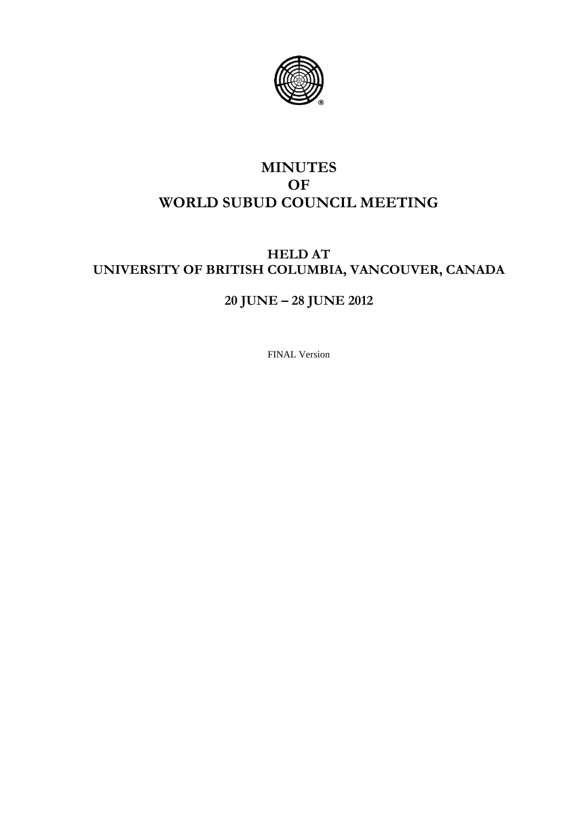

## **MINUTES OF WORLD SUBUD COUNCIL MEETING**

## **HELD AT UNIVERSITY OF BRITISH COLUMBIA, VANCOUVER, CANADA**

# **20 JUNE – 28 JUNE 2012**

FINAL Version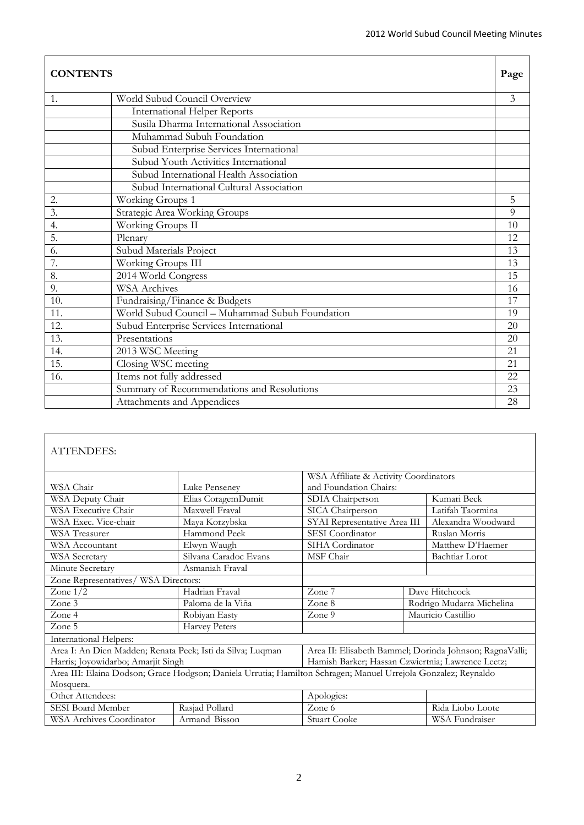| <b>CONTENTS</b>  |                                                 | Page |
|------------------|-------------------------------------------------|------|
| 1.               | World Subud Council Overview                    | 3    |
|                  | <b>International Helper Reports</b>             |      |
|                  | Susila Dharma International Association         |      |
|                  | Muhammad Subuh Foundation                       |      |
|                  | Subud Enterprise Services International         |      |
|                  | Subud Youth Activities International            |      |
|                  | Subud International Health Association          |      |
|                  | Subud International Cultural Association        |      |
| 2.               | Working Groups 1                                | 5    |
| $\overline{3}$ . | <b>Strategic Area Working Groups</b>            | 9    |
| 4.               | Working Groups II                               | 10   |
| 5.               | Plenary                                         | 12   |
| 6.               | Subud Materials Project                         | 13   |
| 7.               | Working Groups III                              | 13   |
| 8.               | 2014 World Congress                             | 15   |
| 9.               | <b>WSA</b> Archives                             | 16   |
| 10.              | Fundraising/Finance & Budgets                   | 17   |
| 11.              | World Subud Council - Muhammad Subuh Foundation | 19   |
| 12.              | Subud Enterprise Services International         | 20   |
| 13.              | Presentations                                   | 20   |
| 14.              | 2013 WSC Meeting                                | 21   |
| 15.              | Closing WSC meeting                             | 21   |
| 16.              | Items not fully addressed                       | 22   |
|                  | Summary of Recommendations and Resolutions      | 23   |
|                  | Attachments and Appendices                      | 28   |

## ATTENDEES:

|                                                            |                                                                                                                | WSA Affiliate & Activity Coordinators                   |                    |  |
|------------------------------------------------------------|----------------------------------------------------------------------------------------------------------------|---------------------------------------------------------|--------------------|--|
| WSA Chair                                                  | Luke Penseney                                                                                                  | and Foundation Chairs:                                  |                    |  |
| WSA Deputy Chair                                           | Elias CoragemDumit                                                                                             | SDIA Chairperson                                        | Kumari Beck        |  |
| WSA Executive Chair                                        | Maxwell Fraval                                                                                                 | SICA Chairperson                                        | Latifah Taormina   |  |
| WSA Exec. Vice-chair                                       | Maya Korzybska                                                                                                 | SYAI Representative Area III                            | Alexandra Woodward |  |
| <b>WSA</b> Treasurer                                       | Hammond Peek                                                                                                   | SESI Coordinator                                        | Ruslan Morris      |  |
| WSA Accountant                                             | Elwyn Waugh                                                                                                    | SIHA Cordinator                                         | Matthew D'Haemer   |  |
| <b>WSA</b> Secretary                                       | Silvana Caradoc Evans                                                                                          | MSF Chair                                               | Bachtiar Lorot     |  |
| Minute Secretary                                           | Asmaniah Fraval                                                                                                |                                                         |                    |  |
| Zone Representatives/ WSA Directors:                       |                                                                                                                |                                                         |                    |  |
| Zone $1/2$                                                 | Hadrian Fraval                                                                                                 | Zone 7                                                  | Dave Hitchcock     |  |
| Zone 3                                                     | Paloma de la Viña                                                                                              | Zone 8<br>Rodrigo Mudarra Michelina                     |                    |  |
| Zone 4                                                     | Robiyan Easty                                                                                                  | Zone 9                                                  | Mauricio Castillio |  |
| Zone 5                                                     | <b>Harvey Peters</b>                                                                                           |                                                         |                    |  |
| International Helpers:                                     |                                                                                                                |                                                         |                    |  |
| Area I: An Dien Madden; Renata Peek; Isti da Silva; Luqman |                                                                                                                | Area II: Elisabeth Bammel; Dorinda Johnson; RagnaValli; |                    |  |
| Harris; Joyowidarbo; Amarjit Singh                         |                                                                                                                | Hamish Barker; Hassan Czwiertnia; Lawrence Leetz;       |                    |  |
|                                                            | Area III: Elaina Dodson; Grace Hodgson; Daniela Urrutia; Hamilton Schragen; Manuel Urrejola Gonzalez; Reynaldo |                                                         |                    |  |
| Mosquera.                                                  |                                                                                                                |                                                         |                    |  |
| Other Attendees:                                           |                                                                                                                | Apologies:                                              |                    |  |
| SESI Board Member                                          | Rasjad Pollard                                                                                                 | Zone 6                                                  | Rida Liobo Loote   |  |
| <b>WSA Archives Coordinator</b>                            | Armand Bisson                                                                                                  | <b>Stuart Cooke</b>                                     | WSA Fundraiser     |  |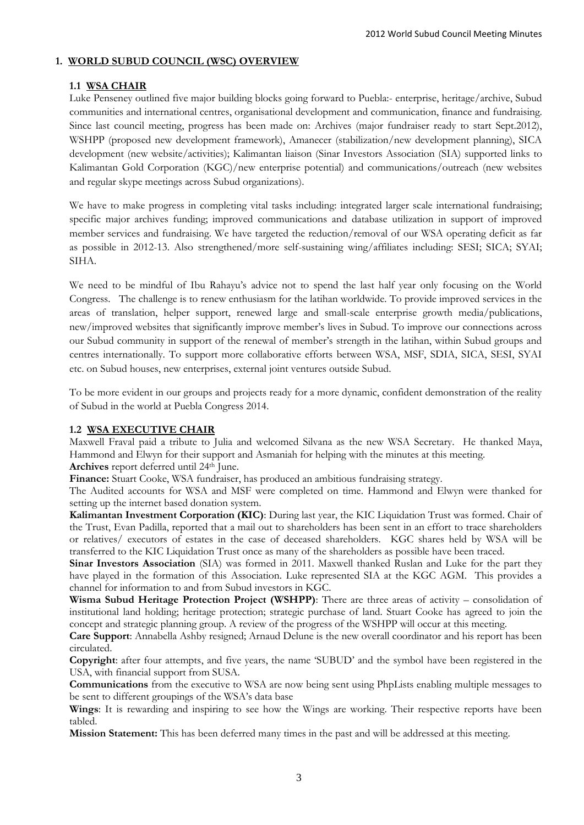## **1. WORLD SUBUD COUNCIL (WSC) OVERVIEW**

## **1.1 WSA CHAIR**

Luke Penseney outlined five major building blocks going forward to Puebla:- enterprise, heritage/archive, Subud communities and international centres, organisational development and communication, finance and fundraising. Since last council meeting, progress has been made on: Archives (major fundraiser ready to start Sept.2012), WSHPP (proposed new development framework), Amanecer (stabilization/new development planning), SICA development (new website/activities); Kalimantan liaison (Sinar Investors Association (SIA) supported links to Kalimantan Gold Corporation (KGC)/new enterprise potential) and communications/outreach (new websites and regular skype meetings across Subud organizations).

We have to make progress in completing vital tasks including: integrated larger scale international fundraising; specific major archives funding; improved communications and database utilization in support of improved member services and fundraising. We have targeted the reduction/removal of our WSA operating deficit as far as possible in 2012-13. Also strengthened/more self-sustaining wing/affiliates including: SESI; SICA; SYAI; SIHA.

We need to be mindful of Ibu Rahayu's advice not to spend the last half year only focusing on the World Congress. The challenge is to renew enthusiasm for the latihan worldwide. To provide improved services in the areas of translation, helper support, renewed large and small-scale enterprise growth media/publications, new/improved websites that significantly improve member's lives in Subud. To improve our connections across our Subud community in support of the renewal of member's strength in the latihan, within Subud groups and centres internationally. To support more collaborative efforts between WSA, MSF, SDIA, SICA, SESI, SYAI etc. on Subud houses, new enterprises, external joint ventures outside Subud.

To be more evident in our groups and projects ready for a more dynamic, confident demonstration of the reality of Subud in the world at Puebla Congress 2014.

## **1.2 WSA EXECUTIVE CHAIR**

Maxwell Fraval paid a tribute to Julia and welcomed Silvana as the new WSA Secretary. He thanked Maya, Hammond and Elwyn for their support and Asmaniah for helping with the minutes at this meeting. Archives report deferred until 24<sup>th</sup> June.

**Finance:** Stuart Cooke, WSA fundraiser, has produced an ambitious fundraising strategy.

The Audited accounts for WSA and MSF were completed on time. Hammond and Elwyn were thanked for setting up the internet based donation system.

**Kalimantan Investment Corporation (KIC)**: During last year, the KIC Liquidation Trust was formed. Chair of the Trust, Evan Padilla, reported that a mail out to shareholders has been sent in an effort to trace shareholders or relatives/ executors of estates in the case of deceased shareholders. KGC shares held by WSA will be transferred to the KIC Liquidation Trust once as many of the shareholders as possible have been traced.

**Sinar Investors Association** (SIA) was formed in 2011. Maxwell thanked Ruslan and Luke for the part they have played in the formation of this Association. Luke represented SIA at the KGC AGM. This provides a channel for information to and from Subud investors in KGC.

Wisma Subud Heritage Protection Project (WSHPP): There are three areas of activity – consolidation of institutional land holding; heritage protection; strategic purchase of land. Stuart Cooke has agreed to join the concept and strategic planning group. A review of the progress of the WSHPP will occur at this meeting.

**Care Support**: Annabella Ashby resigned; Arnaud Delune is the new overall coordinator and his report has been circulated.

**Copyright**: after four attempts, and five years, the name 'SUBUD' and the symbol have been registered in the USA, with financial support from SUSA.

**Communications** from the executive to WSA are now being sent using PhpLists enabling multiple messages to be sent to different groupings of the WSA's data base

**Wings**: It is rewarding and inspiring to see how the Wings are working. Their respective reports have been tabled.

**Mission Statement:** This has been deferred many times in the past and will be addressed at this meeting.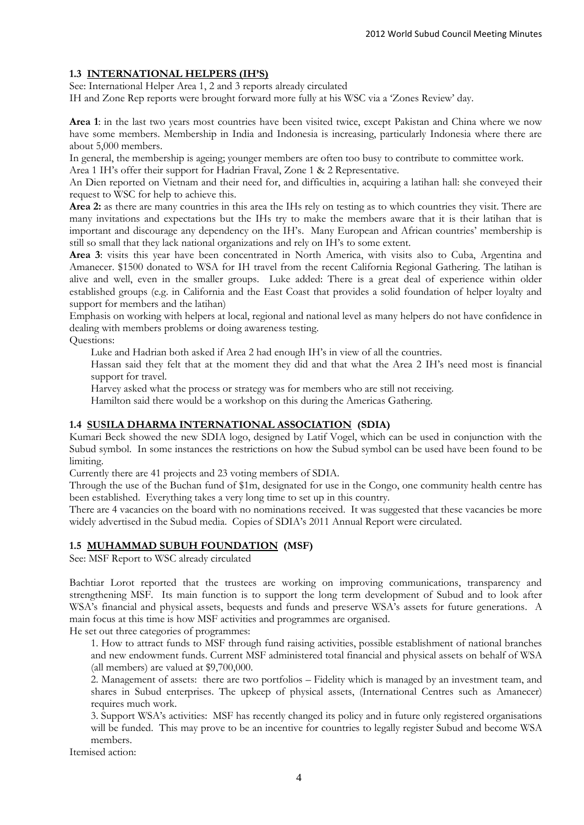## **1.3 INTERNATIONAL HELPERS (IH'S)**

See: International Helper Area 1, 2 and 3 reports already circulated

IH and Zone Rep reports were brought forward more fully at his WSC via a 'Zones Review' day.

**Area 1**: in the last two years most countries have been visited twice, except Pakistan and China where we now have some members. Membership in India and Indonesia is increasing, particularly Indonesia where there are about 5,000 members.

In general, the membership is ageing; younger members are often too busy to contribute to committee work.

Area 1 IH's offer their support for Hadrian Fraval, Zone 1 & 2 Representative.

An Dien reported on Vietnam and their need for, and difficulties in, acquiring a latihan hall: she conveyed their request to WSC for help to achieve this.

**Area 2:** as there are many countries in this area the IHs rely on testing as to which countries they visit. There are many invitations and expectations but the IHs try to make the members aware that it is their latihan that is important and discourage any dependency on the IH's. Many European and African countries' membership is still so small that they lack national organizations and rely on IH's to some extent.

**Area 3**: visits this year have been concentrated in North America, with visits also to Cuba, Argentina and Amanecer. \$1500 donated to WSA for IH travel from the recent California Regional Gathering. The latihan is alive and well, even in the smaller groups. Luke added: There is a great deal of experience within older established groups (e.g. in California and the East Coast that provides a solid foundation of helper loyalty and support for members and the latihan)

Emphasis on working with helpers at local, regional and national level as many helpers do not have confidence in dealing with members problems or doing awareness testing.

Questions:

Luke and Hadrian both asked if Area 2 had enough IH's in view of all the countries.

Hassan said they felt that at the moment they did and that what the Area 2 IH's need most is financial support for travel.

Harvey asked what the process or strategy was for members who are still not receiving.

Hamilton said there would be a workshop on this during the Americas Gathering.

## **1.4 SUSILA DHARMA INTERNATIONAL ASSOCIATION (SDIA)**

Kumari Beck showed the new SDIA logo, designed by Latif Vogel, which can be used in conjunction with the Subud symbol. In some instances the restrictions on how the Subud symbol can be used have been found to be limiting.

Currently there are 41 projects and 23 voting members of SDIA.

Through the use of the Buchan fund of \$1m, designated for use in the Congo, one community health centre has been established. Everything takes a very long time to set up in this country.

There are 4 vacancies on the board with no nominations received. It was suggested that these vacancies be more widely advertised in the Subud media. Copies of SDIA's 2011 Annual Report were circulated.

## **1.5 MUHAMMAD SUBUH FOUNDATION (MSF)**

See: MSF Report to WSC already circulated

Bachtiar Lorot reported that the trustees are working on improving communications, transparency and strengthening MSF. Its main function is to support the long term development of Subud and to look after WSA's financial and physical assets, bequests and funds and preserve WSA's assets for future generations. A main focus at this time is how MSF activities and programmes are organised.

He set out three categories of programmes:

1. How to attract funds to MSF through fund raising activities, possible establishment of national branches and new endowment funds. Current MSF administered total financial and physical assets on behalf of WSA (all members) are valued at \$9,700,000.

2. Management of assets: there are two portfolios – Fidelity which is managed by an investment team, and shares in Subud enterprises. The upkeep of physical assets, (International Centres such as Amanecer) requires much work.

3. Support WSA's activities: MSF has recently changed its policy and in future only registered organisations will be funded. This may prove to be an incentive for countries to legally register Subud and become WSA members.

Itemised action: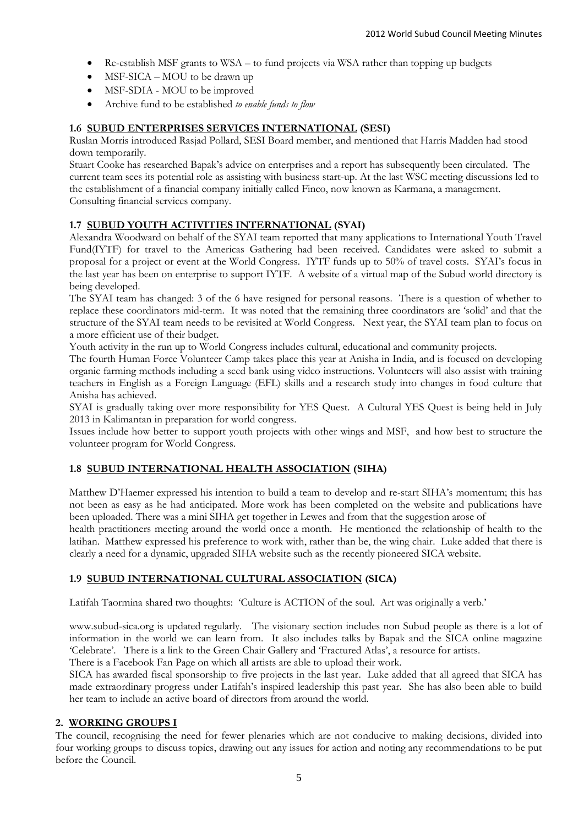- Re-establish MSF grants to WSA to fund projects via WSA rather than topping up budgets
- MSF-SICA MOU to be drawn up
- MSF-SDIA MOU to be improved
- Archive fund to be established *to enable funds to flow*

## **1.6 SUBUD ENTERPRISES SERVICES INTERNATIONAL (SESI)**

Ruslan Morris introduced Rasjad Pollard, SESI Board member, and mentioned that Harris Madden had stood down temporarily.

Stuart Cooke has researched Bapak's advice on enterprises and a report has subsequently been circulated. The current team sees its potential role as assisting with business start-up. At the last WSC meeting discussions led to the establishment of a financial company initially called Finco, now known as Karmana, a management. Consulting financial services company.

## **1.7 SUBUD YOUTH ACTIVITIES INTERNATIONAL (SYAI)**

Alexandra Woodward on behalf of the SYAI team reported that many applications to International Youth Travel Fund(IYTF) for travel to the Americas Gathering had been received. Candidates were asked to submit a proposal for a project or event at the World Congress. IYTF funds up to 50% of travel costs. SYAI's focus in the last year has been on enterprise to support IYTF. A website of a virtual map of the Subud world directory is being developed.

The SYAI team has changed: 3 of the 6 have resigned for personal reasons. There is a question of whether to replace these coordinators mid-term. It was noted that the remaining three coordinators are 'solid' and that the structure of the SYAI team needs to be revisited at World Congress. Next year, the SYAI team plan to focus on a more efficient use of their budget.

Youth activity in the run up to World Congress includes cultural, educational and community projects.

The fourth Human Force Volunteer Camp takes place this year at Anisha in India, and is focused on developing organic farming methods including a seed bank using video instructions. Volunteers will also assist with training teachers in English as a Foreign Language (EFL) skills and a research study into changes in food culture that Anisha has achieved.

SYAI is gradually taking over more responsibility for YES Quest. A Cultural YES Quest is being held in July 2013 in Kalimantan in preparation for world congress.

Issues include how better to support youth projects with other wings and MSF, and how best to structure the volunteer program for World Congress.

## **1.8 SUBUD INTERNATIONAL HEALTH ASSOCIATION (SIHA)**

Matthew D'Haemer expressed his intention to build a team to develop and re-start SIHA's momentum; this has not been as easy as he had anticipated. More work has been completed on the website and publications have been uploaded. There was a mini SIHA get together in Lewes and from that the suggestion arose of

health practitioners meeting around the world once a month. He mentioned the relationship of health to the latihan. Matthew expressed his preference to work with, rather than be, the wing chair. Luke added that there is clearly a need for a dynamic, upgraded SIHA website such as the recently pioneered SICA website.

## **1.9 SUBUD INTERNATIONAL CULTURAL ASSOCIATION (SICA)**

Latifah Taormina shared two thoughts: 'Culture is ACTION of the soul. Art was originally a verb.'

www.subud-sica.org is updated regularly. The visionary section includes non Subud people as there is a lot of information in the world we can learn from. It also includes talks by Bapak and the SICA online magazine 'Celebrate'. There is a link to the Green Chair Gallery and 'Fractured Atlas', a resource for artists. There is a Facebook Fan Page on which all artists are able to upload their work.

SICA has awarded fiscal sponsorship to five projects in the last year. Luke added that all agreed that SICA has made extraordinary progress under Latifah's inspired leadership this past year. She has also been able to build her team to include an active board of directors from around the world.

## **2. WORKING GROUPS I**

The council, recognising the need for fewer plenaries which are not conducive to making decisions, divided into four working groups to discuss topics, drawing out any issues for action and noting any recommendations to be put before the Council.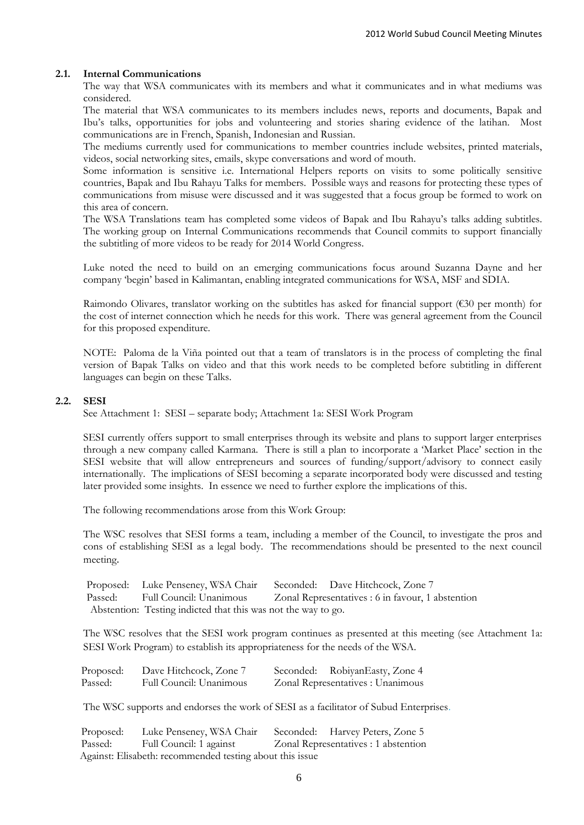#### **2.1. Internal Communications**

The way that WSA communicates with its members and what it communicates and in what mediums was considered.

The material that WSA communicates to its members includes news, reports and documents, Bapak and Ibu's talks, opportunities for jobs and volunteering and stories sharing evidence of the latihan. Most communications are in French, Spanish, Indonesian and Russian.

The mediums currently used for communications to member countries include websites, printed materials, videos, social networking sites, emails, skype conversations and word of mouth.

Some information is sensitive i.e. International Helpers reports on visits to some politically sensitive countries, Bapak and Ibu Rahayu Talks for members. Possible ways and reasons for protecting these types of communications from misuse were discussed and it was suggested that a focus group be formed to work on this area of concern.

The WSA Translations team has completed some videos of Bapak and Ibu Rahayu's talks adding subtitles. The working group on Internal Communications recommends that Council commits to support financially the subtitling of more videos to be ready for 2014 World Congress.

Luke noted the need to build on an emerging communications focus around Suzanna Dayne and her company 'begin' based in Kalimantan, enabling integrated communications for WSA, MSF and SDIA.

Raimondo Olivares, translator working on the subtitles has asked for financial support (€30 per month) for the cost of internet connection which he needs for this work. There was general agreement from the Council for this proposed expenditure.

NOTE: Paloma de la Viña pointed out that a team of translators is in the process of completing the final version of Bapak Talks on video and that this work needs to be completed before subtitling in different languages can begin on these Talks.

## **2.2. SESI**

See Attachment 1: SESI – separate body; Attachment 1a: SESI Work Program

SESI currently offers support to small enterprises through its website and plans to support larger enterprises through a new company called Karmana. There is still a plan to incorporate a 'Market Place' section in the SESI website that will allow entrepreneurs and sources of funding/support/advisory to connect easily internationally. The implications of SESI becoming a separate incorporated body were discussed and testing later provided some insights. In essence we need to further explore the implications of this.

The following recommendations arose from this Work Group:

The WSC resolves that SESI forms a team, including a member of the Council, to investigate the pros and cons of establishing SESI as a legal body. The recommendations should be presented to the next council meeting.

Proposed: Luke Penseney, WSA Chair Seconded: Dave Hitchcock, Zone 7 Passed: Full Council: Unanimous Zonal Representatives : 6 in favour, 1 abstention Abstention: Testing indicted that this was not the way to go.

The WSC resolves that the SESI work program continues as presented at this meeting (see Attachment 1a: SESI Work Program) to establish its appropriateness for the needs of the WSA.

| Proposed: | Dave Hitchcock, Zone 7  | Seconded: RobiyanEasty, Zone 4    |
|-----------|-------------------------|-----------------------------------|
| Passed:   | Full Council: Unanimous | Zonal Representatives : Unanimous |

The WSC supports and endorses the work of SESI as a facilitator of Subud Enterprises.

| Proposed: | Luke Penseney, WSA Chair Seconded: Harvey Peters, Zone 5 |                                      |
|-----------|----------------------------------------------------------|--------------------------------------|
| Passed:   | Full Council: 1 against                                  | Zonal Representatives : 1 abstention |
|           | Against: Elisabeth: recommended testing about this issue |                                      |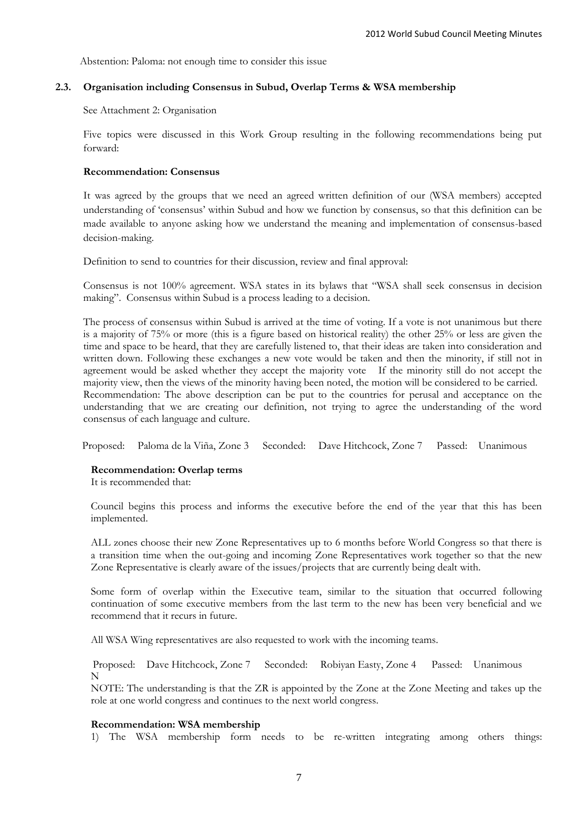Abstention: Paloma: not enough time to consider this issue

## **2.3. Organisation including Consensus in Subud, Overlap Terms & WSA membership**

#### See Attachment 2: Organisation

Five topics were discussed in this Work Group resulting in the following recommendations being put forward:

## **Recommendation: Consensus**

It was agreed by the groups that we need an agreed written definition of our (WSA members) accepted understanding of 'consensus' within Subud and how we function by consensus, so that this definition can be made available to anyone asking how we understand the meaning and implementation of consensus-based decision-making.

Definition to send to countries for their discussion, review and final approval:

Consensus is not 100% agreement. WSA states in its bylaws that "WSA shall seek consensus in decision making". Consensus within Subud is a process leading to a decision.

The process of consensus within Subud is arrived at the time of voting. If a vote is not unanimous but there is a majority of 75% or more (this is a figure based on historical reality) the other 25% or less are given the time and space to be heard, that they are carefully listened to, that their ideas are taken into consideration and written down. Following these exchanges a new vote would be taken and then the minority, if still not in agreement would be asked whether they accept the majority vote If the minority still do not accept the majority view, then the views of the minority having been noted, the motion will be considered to be carried. Recommendation: The above description can be put to the countries for perusal and acceptance on the understanding that we are creating our definition, not trying to agree the understanding of the word consensus of each language and culture.

Proposed: Paloma de la Viña, Zone 3 Seconded: Dave Hitchcock, Zone 7 Passed: Unanimous

#### **Recommendation: Overlap terms**

It is recommended that:

Council begins this process and informs the executive before the end of the year that this has been implemented.

ALL zones choose their new Zone Representatives up to 6 months before World Congress so that there is a transition time when the out-going and incoming Zone Representatives work together so that the new Zone Representative is clearly aware of the issues/projects that are currently being dealt with.

Some form of overlap within the Executive team, similar to the situation that occurred following continuation of some executive members from the last term to the new has been very beneficial and we recommend that it recurs in future.

All WSA Wing representatives are also requested to work with the incoming teams.

N Proposed: Dave Hitchcock, Zone 7 Seconded: Robiyan Easty, Zone 4 Passed: Unanimous

NOTE: The understanding is that the ZR is appointed by the Zone at the Zone Meeting and takes up the role at one world congress and continues to the next world congress.

#### **Recommendation: WSA membership**

1) The WSA membership form needs to be re-written integrating among others things: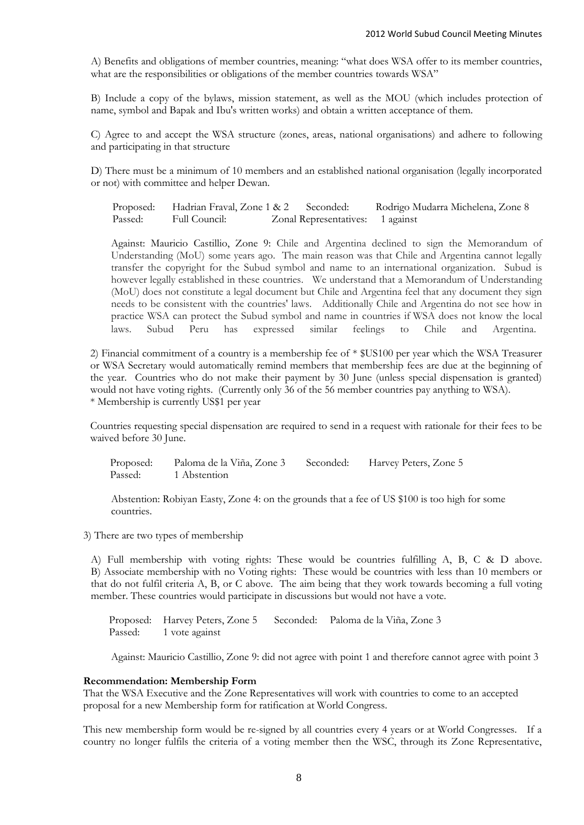A) Benefits and obligations of member countries, meaning: "what does WSA offer to its member countries, what are the responsibilities or obligations of the member countries towards WSA"

B) Include a copy of the bylaws, mission statement, as well as the MOU (which includes protection of name, symbol and Bapak and Ibu's written works) and obtain a written acceptance of them.

C) Agree to and accept the WSA structure (zones, areas, national organisations) and adhere to following and participating in that structure

D) There must be a minimum of 10 members and an established national organisation (legally incorporated or not) with committee and helper Dewan.

Proposed: Hadrian Fraval, Zone 1 & 2 Seconded: Rodrigo Mudarra Michelena, Zone 8 Passed: Full Council: Zonal Representatives: 1 against

Against: Mauricio Castillio, Zone 9: Chile and Argentina declined to sign the Memorandum of Understanding (MoU) some years ago. The main reason was that Chile and Argentina cannot legally transfer the copyright for the Subud symbol and name to an international organization. Subud is however legally established in these countries. We understand that a Memorandum of Understanding (MoU) does not constitute a legal document but Chile and Argentina feel that any document they sign needs to be consistent with the countries' laws. Additionally Chile and Argentina do not see how in practice WSA can protect the Subud symbol and name in countries if WSA does not know the local laws. Subud Peru has expressed similar feelings to Chile and Argentina.

2) Financial commitment of a country is a membership fee of \* \$US100 per year which the WSA Treasurer or WSA Secretary would automatically remind members that membership fees are due at the beginning of the year. Countries who do not make their payment by 30 June (unless special dispensation is granted) would not have voting rights. (Currently only 36 of the 56 member countries pay anything to WSA). \* Membership is currently US\$1 per year

Countries requesting special dispensation are required to send in a request with rationale for their fees to be waived before 30 June.

 Proposed: Paloma de la Viña, Zone 3 Seconded: Harvey Peters, Zone 5 Passed: 1 Abstention

Abstention: Robiyan Easty, Zone 4: on the grounds that a fee of US \$100 is too high for some countries.

3) There are two types of membership

A) Full membership with voting rights: These would be countries fulfilling A, B, C & D above. B) Associate membership with no Voting rights: These would be countries with less than 10 members or that do not fulfil criteria A, B, or C above. The aim being that they work towards becoming a full voting member. These countries would participate in discussions but would not have a vote.

Proposed: Harvey Peters, Zone 5 Seconded: Paloma de la Viña, Zone 3 Passed: 1 vote against

Against: Mauricio Castillio, Zone 9: did not agree with point 1 and therefore cannot agree with point 3

## **Recommendation: Membership Form**

That the WSA Executive and the Zone Representatives will work with countries to come to an accepted proposal for a new Membership form for ratification at World Congress.

This new membership form would be re-signed by all countries every 4 years or at World Congresses. If a country no longer fulfils the criteria of a voting member then the WSC, through its Zone Representative,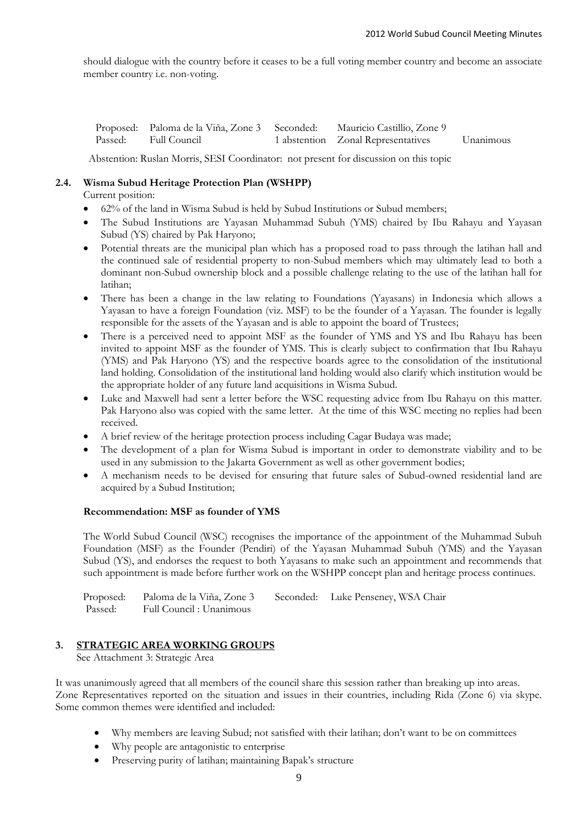should dialogue with the country before it ceases to be a full voting member country and become an associate member country i.e. non-voting.

| Proposed: Paloma de la Viña, Zone 3 Seconded: Mauricio Castillio, Zone 9 |                                     |           |
|--------------------------------------------------------------------------|-------------------------------------|-----------|
| Passed: Full Council                                                     | 1 abstention  Zonal Representatives | Unanimous |

Abstention: Ruslan Morris, SESI Coordinator: not present for discussion on this topic

## **2.4. Wisma Subud Heritage Protection Plan (WSHPP)**

Current position:

- 62% of the land in Wisma Subud is held by Subud Institutions or Subud members;
- The Subud Institutions are Yayasan Muhammad Subuh (YMS) chaired by Ibu Rahayu and Yayasan Subud (YS) chaired by Pak Haryono;
- Potential threats are the municipal plan which has a proposed road to pass through the latihan hall and the continued sale of residential property to non-Subud members which may ultimately lead to both a dominant non-Subud ownership block and a possible challenge relating to the use of the latihan hall for latihan;
- There has been a change in the law relating to Foundations (Yayasans) in Indonesia which allows a Yayasan to have a foreign Foundation (viz. MSF) to be the founder of a Yayasan. The founder is legally responsible for the assets of the Yayasan and is able to appoint the board of Trustees;
- There is a perceived need to appoint MSF as the founder of YMS and YS and Ibu Rahayu has been invited to appoint MSF as the founder of YMS. This is clearly subject to confirmation that Ibu Rahayu (YMS) and Pak Haryono (YS) and the respective boards agree to the consolidation of the institutional land holding. Consolidation of the institutional land holding would also clarify which institution would be the appropriate holder of any future land acquisitions in Wisma Subud.
- Luke and Maxwell had sent a letter before the WSC requesting advice from Ibu Rahayu on this matter. Pak Haryono also was copied with the same letter. At the time of this WSC meeting no replies had been received.
- A brief review of the heritage protection process including Cagar Budaya was made;
- The development of a plan for Wisma Subud is important in order to demonstrate viability and to be used in any submission to the Jakarta Government as well as other government bodies;
- A mechanism needs to be devised for ensuring that future sales of Subud-owned residential land are acquired by a Subud Institution;

#### **Recommendation: MSF as founder of YMS**

The World Subud Council (WSC) recognises the importance of the appointment of the Muhammad Subuh Foundation (MSF) as the Founder (Pendiri) of the Yayasan Muhammad Subuh (YMS) and the Yayasan Subud (YS), and endorses the request to both Yayasans to make such an appointment and recommends that such appointment is made before further work on the WSHPP concept plan and heritage process continues.

Proposed: Paloma de la Viña, Zone 3 Seconded: Luke Penseney, WSA Chair Passed: Full Council : Unanimous

## **3. STRATEGIC AREA WORKING GROUPS**

See Attachment 3: Strategic Area

It was unanimously agreed that all members of the council share this session rather than breaking up into areas. Zone Representatives reported on the situation and issues in their countries, including Rida (Zone 6) via skype. Some common themes were identified and included:

- Why members are leaving Subud; not satisfied with their latihan; don't want to be on committees
- Why people are antagonistic to enterprise
- Preserving purity of latihan; maintaining Bapak's structure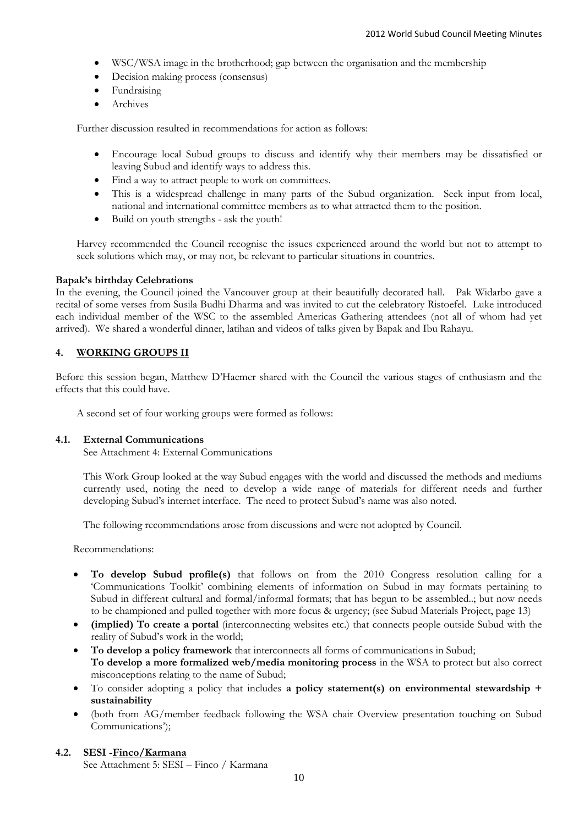- WSC/WSA image in the brotherhood; gap between the organisation and the membership
- Decision making process (consensus)
- Fundraising
- Archives

Further discussion resulted in recommendations for action as follows:

- Encourage local Subud groups to discuss and identify why their members may be dissatisfied or leaving Subud and identify ways to address this.
- Find a way to attract people to work on committees.
- This is a widespread challenge in many parts of the Subud organization. Seek input from local, national and international committee members as to what attracted them to the position.
- Build on youth strengths ask the youth!

Harvey recommended the Council recognise the issues experienced around the world but not to attempt to seek solutions which may, or may not, be relevant to particular situations in countries.

## **Bapak's birthday Celebrations**

In the evening, the Council joined the Vancouver group at their beautifully decorated hall. Pak Widarbo gave a recital of some verses from Susila Budhi Dharma and was invited to cut the celebratory Ristoefel. Luke introduced each individual member of the WSC to the assembled Americas Gathering attendees (not all of whom had yet arrived). We shared a wonderful dinner, latihan and videos of talks given by Bapak and Ibu Rahayu.

## **4. WORKING GROUPS II**

Before this session began, Matthew D'Haemer shared with the Council the various stages of enthusiasm and the effects that this could have.

A second set of four working groups were formed as follows:

#### **4.1. External Communications**

See Attachment 4: External Communications

This Work Group looked at the way Subud engages with the world and discussed the methods and mediums currently used, noting the need to develop a wide range of materials for different needs and further developing Subud's internet interface. The need to protect Subud's name was also noted.

The following recommendations arose from discussions and were not adopted by Council.

Recommendations:

- **To develop Subud profile(s)** that follows on from the 2010 Congress resolution calling for a 'Communications Toolkit' combining elements of information on Subud in may formats pertaining to Subud in different cultural and formal/informal formats; that has begun to be assembled..; but now needs to be championed and pulled together with more focus & urgency; (see Subud Materials Project, page 13)
- **(implied) To create a portal** (interconnecting websites etc.) that connects people outside Subud with the reality of Subud's work in the world;
- **To develop a policy framework** that interconnects all forms of communications in Subud; **To develop a more formalized web/media monitoring process** in the WSA to protect but also correct misconceptions relating to the name of Subud;
- To consider adopting a policy that includes **a policy statement(s) on environmental stewardship + sustainability**
- (both from AG/member feedback following the WSA chair Overview presentation touching on Subud Communications');

## **4.2. SESI -Finco/Karmana**

See Attachment 5: SESI – Finco / Karmana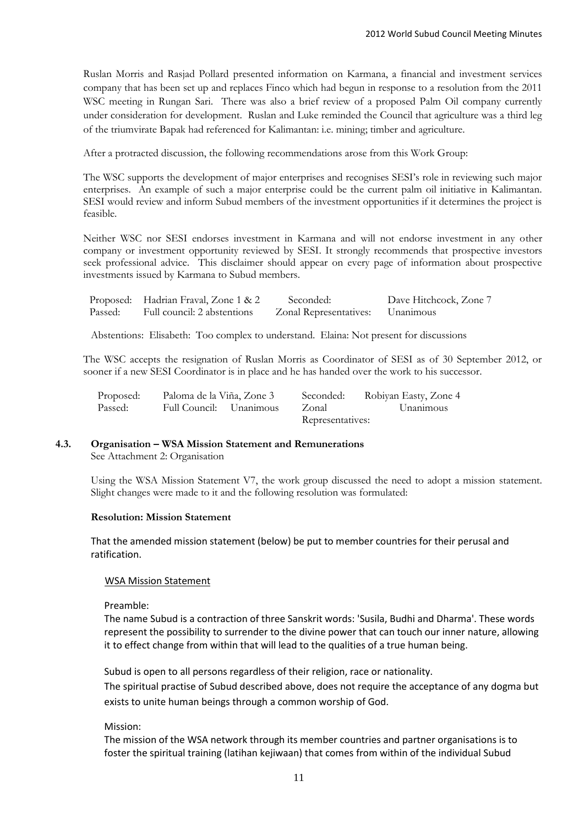Ruslan Morris and Rasjad Pollard presented information on Karmana, a financial and investment services company that has been set up and replaces Finco which had begun in response to a resolution from the 2011 WSC meeting in Rungan Sari. There was also a brief review of a proposed Palm Oil company currently under consideration for development. Ruslan and Luke reminded the Council that agriculture was a third leg of the triumvirate Bapak had referenced for Kalimantan: i.e. mining; timber and agriculture.

After a protracted discussion, the following recommendations arose from this Work Group:

The WSC supports the development of major enterprises and recognises SESI's role in reviewing such major enterprises. An example of such a major enterprise could be the current palm oil initiative in Kalimantan. SESI would review and inform Subud members of the investment opportunities if it determines the project is feasible.

Neither WSC nor SESI endorses investment in Karmana and will not endorse investment in any other company or investment opportunity reviewed by SESI. It strongly recommends that prospective investors seek professional advice. This disclaimer should appear on every page of information about prospective investments issued by Karmana to Subud members.

|         | Proposed: Hadrian Fraval, Zone 1 & 2 | Seconded:                        | Dave Hitchcock, Zone 7 |
|---------|--------------------------------------|----------------------------------|------------------------|
| Passed: | Full council: 2 abstentions          | Zonal Representatives: Unanimous |                        |

Abstentions: Elisabeth: Too complex to understand. Elaina: Not present for discussions

The WSC accepts the resignation of Ruslan Morris as Coordinator of SESI as of 30 September 2012, or sooner if a new SESI Coordinator is in place and he has handed over the work to his successor.

| Proposed: | Paloma de la Viña, Zone 3 | Seconded:        | Robiyan Easty, Zone 4 |
|-----------|---------------------------|------------------|-----------------------|
| Passed:   | Full Council: Unanimous   | Zonal            | Unanimous             |
|           |                           | Representatives: |                       |

# **4.3. Organisation – WSA Mission Statement and Remunerations**

See Attachment 2: Organisation

Using the WSA Mission Statement V7, the work group discussed the need to adopt a mission statement. Slight changes were made to it and the following resolution was formulated:

## **Resolution: Mission Statement**

That the amended mission statement (below) be put to member countries for their perusal and ratification.

## WSA Mission Statement

Preamble:

The name Subud is a contraction of three Sanskrit words: 'Susila, Budhi and Dharma'. These words represent the possibility to surrender to the divine power that can touch our inner nature, allowing it to effect change from within that will lead to the qualities of a true human being.

Subud is open to all persons regardless of their religion, race or nationality.

The spiritual practise of Subud described above, does not require the acceptance of any dogma but exists to unite human beings through a common worship of God.

Mission:

The mission of the WSA network through its member countries and partner organisations is to foster the spiritual training (latihan kejiwaan) that comes from within of the individual Subud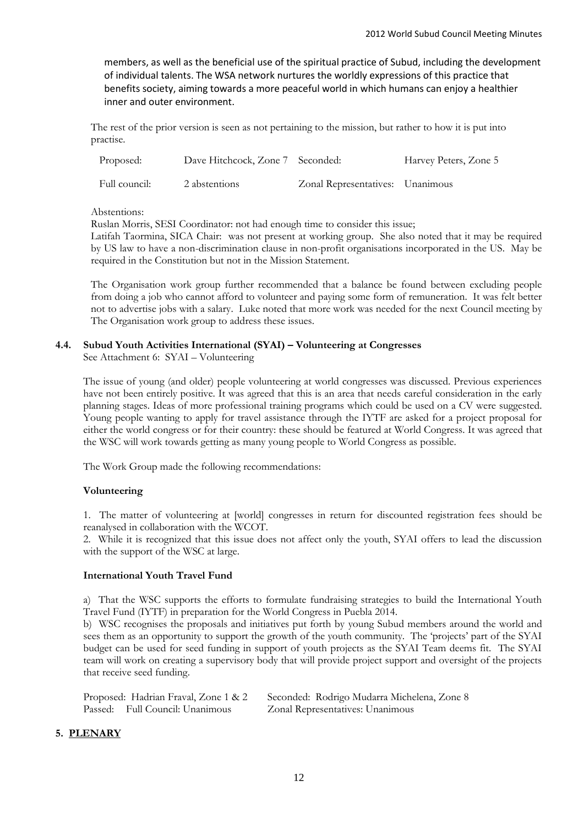members, as well as the beneficial use of the spiritual practice of Subud, including the development of individual talents. The WSA network nurtures the worldly expressions of this practice that benefits society, aiming towards a more peaceful world in which humans can enjoy a healthier inner and outer environment.

The rest of the prior version is seen as not pertaining to the mission, but rather to how it is put into practise.

| Proposed:     | Dave Hitchcock, Zone 7 Seconded: |                                  | Harvey Peters, Zone 5 |
|---------------|----------------------------------|----------------------------------|-----------------------|
| Full council: | 2 abstentions                    | Zonal Representatives: Unanimous |                       |

Abstentions:

Ruslan Morris, SESI Coordinator: not had enough time to consider this issue;

Latifah Taormina, SICA Chair: was not present at working group. She also noted that it may be required by US law to have a non-discrimination clause in non-profit organisations incorporated in the US. May be required in the Constitution but not in the Mission Statement.

The Organisation work group further recommended that a balance be found between excluding people from doing a job who cannot afford to volunteer and paying some form of remuneration. It was felt better not to advertise jobs with a salary. Luke noted that more work was needed for the next Council meeting by The Organisation work group to address these issues.

## **4.4. Subud Youth Activities International (SYAI) – Volunteering at Congresses**

See Attachment 6: SYAI – Volunteering

The issue of young (and older) people volunteering at world congresses was discussed. Previous experiences have not been entirely positive. It was agreed that this is an area that needs careful consideration in the early planning stages. Ideas of more professional training programs which could be used on a CV were suggested. Young people wanting to apply for travel assistance through the IYTF are asked for a project proposal for either the world congress or for their country: these should be featured at World Congress. It was agreed that the WSC will work towards getting as many young people to World Congress as possible.

The Work Group made the following recommendations:

## **Volunteering**

1. The matter of volunteering at [world] congresses in return for discounted registration fees should be reanalysed in collaboration with the WCOT.

2. While it is recognized that this issue does not affect only the youth, SYAI offers to lead the discussion with the support of the WSC at large.

## **International Youth Travel Fund**

a) That the WSC supports the efforts to formulate fundraising strategies to build the International Youth Travel Fund (IYTF) in preparation for the World Congress in Puebla 2014.

b) WSC recognises the proposals and initiatives put forth by young Subud members around the world and sees them as an opportunity to support the growth of the youth community. The 'projects' part of the SYAI budget can be used for seed funding in support of youth projects as the SYAI Team deems fit. The SYAI team will work on creating a supervisory body that will provide project support and oversight of the projects that receive seed funding.

| Proposed: Hadrian Fraval, Zone 1 & 2 | Seconded: Rodrigo Mudarra Michelena, Zone 8 |  |  |
|--------------------------------------|---------------------------------------------|--|--|
| Passed: Full Council: Unanimous      | Zonal Representatives: Unanimous            |  |  |

## **5. PLENARY**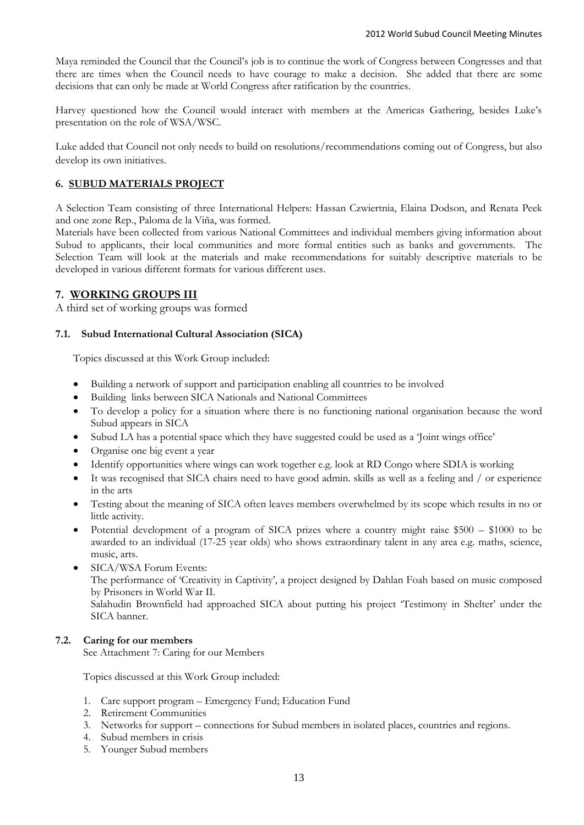Maya reminded the Council that the Council's job is to continue the work of Congress between Congresses and that there are times when the Council needs to have courage to make a decision. She added that there are some decisions that can only be made at World Congress after ratification by the countries.

Harvey questioned how the Council would interact with members at the Americas Gathering, besides Luke's presentation on the role of WSA/WSC.

Luke added that Council not only needs to build on resolutions/recommendations coming out of Congress, but also develop its own initiatives.

## **6. SUBUD MATERIALS PROJECT**

A Selection Team consisting of three International Helpers: Hassan Czwiertnia, Elaina Dodson, and Renata Peek and one zone Rep., Paloma de la Viña, was formed.

Materials have been collected from various National Committees and individual members giving information about Subud to applicants, their local communities and more formal entities such as banks and governments. The Selection Team will look at the materials and make recommendations for suitably descriptive materials to be developed in various different formats for various different uses.

## **7. WORKING GROUPS III**

A third set of working groups was formed

## **7.1. Subud International Cultural Association (SICA)**

Topics discussed at this Work Group included:

- Building a network of support and participation enabling all countries to be involved
- Building links between SICA Nationals and National Committees
- To develop a policy for a situation where there is no functioning national organisation because the word Subud appears in SICA
- Subud LA has a potential space which they have suggested could be used as a 'Joint wings office'
- Organise one big event a year
- Identify opportunities where wings can work together e.g. look at RD Congo where SDIA is working
- It was recognised that SICA chairs need to have good admin. skills as well as a feeling and / or experience in the arts
- Testing about the meaning of SICA often leaves members overwhelmed by its scope which results in no or little activity.
- Potential development of a program of SICA prizes where a country might raise \$500 \$1000 to be awarded to an individual (17-25 year olds) who shows extraordinary talent in any area e.g. maths, science, music, arts.
- SICA/WSA Forum Events: The performance of 'Creativity in Captivity', a project designed by Dahlan Foah based on music composed by Prisoners in World War II. Salahudin Brownfield had approached SICA about putting his project 'Testimony in Shelter' under the SICA banner.

#### **7.2. Caring for our members**

See Attachment 7: Caring for our Members

Topics discussed at this Work Group included:

- 1. Care support program Emergency Fund; Education Fund
- 2. Retirement Communities
- 3. Networks for support connections for Subud members in isolated places, countries and regions.
- 4. Subud members in crisis
- 5. Younger Subud members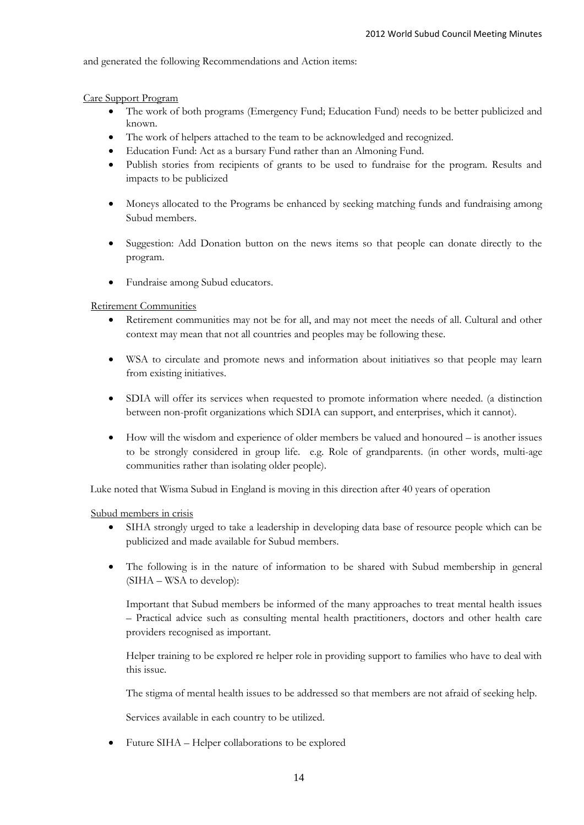and generated the following Recommendations and Action items:

Care Support Program

- The work of both programs (Emergency Fund; Education Fund) needs to be better publicized and known.
- The work of helpers attached to the team to be acknowledged and recognized.
- Education Fund: Act as a bursary Fund rather than an Almoning Fund.
- Publish stories from recipients of grants to be used to fundraise for the program. Results and impacts to be publicized
- Moneys allocated to the Programs be enhanced by seeking matching funds and fundraising among Subud members.
- Suggestion: Add Donation button on the news items so that people can donate directly to the program.
- Fundraise among Subud educators.

Retirement Communities

- Retirement communities may not be for all, and may not meet the needs of all. Cultural and other context may mean that not all countries and peoples may be following these.
- WSA to circulate and promote news and information about initiatives so that people may learn from existing initiatives.
- SDIA will offer its services when requested to promote information where needed. (a distinction between non-profit organizations which SDIA can support, and enterprises, which it cannot).
- How will the wisdom and experience of older members be valued and honoured is another issues to be strongly considered in group life. e.g. Role of grandparents. (in other words, multi-age communities rather than isolating older people).

Luke noted that Wisma Subud in England is moving in this direction after 40 years of operation

Subud members in crisis

- SIHA strongly urged to take a leadership in developing data base of resource people which can be publicized and made available for Subud members.
- The following is in the nature of information to be shared with Subud membership in general (SIHA – WSA to develop):

Important that Subud members be informed of the many approaches to treat mental health issues – Practical advice such as consulting mental health practitioners, doctors and other health care providers recognised as important.

Helper training to be explored re helper role in providing support to families who have to deal with this issue.

The stigma of mental health issues to be addressed so that members are not afraid of seeking help.

Services available in each country to be utilized.

Future SIHA – Helper collaborations to be explored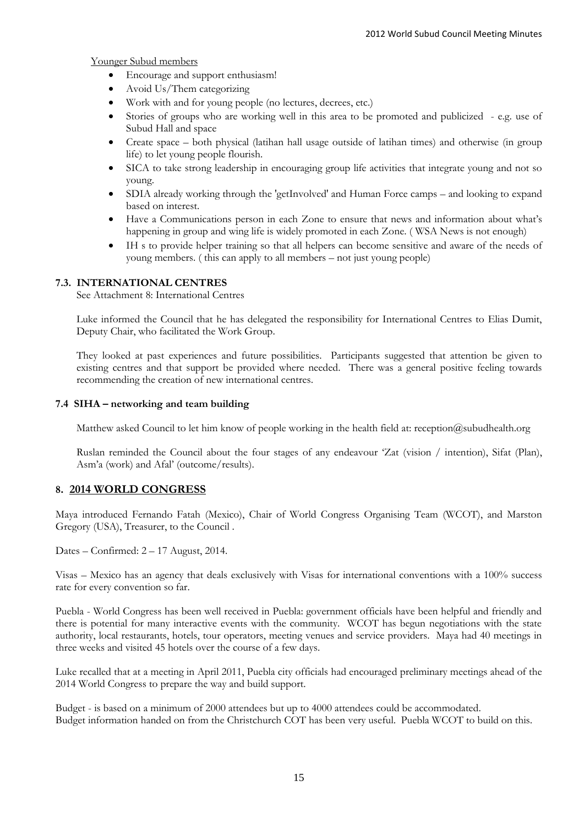Younger Subud members

- Encourage and support enthusiasm!
- Avoid Us/Them categorizing
- Work with and for young people (no lectures, decrees, etc.)
- Stories of groups who are working well in this area to be promoted and publicized e.g. use of Subud Hall and space
- Create space both physical (latihan hall usage outside of latihan times) and otherwise (in group life) to let young people flourish.
- SICA to take strong leadership in encouraging group life activities that integrate young and not so young.
- SDIA already working through the 'getInvolved' and Human Force camps and looking to expand based on interest.
- Have a Communications person in each Zone to ensure that news and information about what's happening in group and wing life is widely promoted in each Zone. ( WSA News is not enough)
- IH s to provide helper training so that all helpers can become sensitive and aware of the needs of young members. ( this can apply to all members – not just young people)

## **7.3. INTERNATIONAL CENTRES**

See Attachment 8: International Centres

Luke informed the Council that he has delegated the responsibility for International Centres to Elias Dumit, Deputy Chair, who facilitated the Work Group.

They looked at past experiences and future possibilities. Participants suggested that attention be given to existing centres and that support be provided where needed. There was a general positive feeling towards recommending the creation of new international centres.

## **7.4 SIHA – networking and team building**

Matthew asked Council to let him know of people working in the health field at: reception@subudhealth.org

Ruslan reminded the Council about the four stages of any endeavour 'Zat (vision / intention), Sifat (Plan), Asm'a (work) and Afal' (outcome/results).

## **8. 2014 WORLD CONGRESS**

Maya introduced Fernando Fatah (Mexico), Chair of World Congress Organising Team (WCOT), and Marston Gregory (USA), Treasurer, to the Council .

Dates – Confirmed: 2 – 17 August, 2014.

Visas – Mexico has an agency that deals exclusively with Visas for international conventions with a 100% success rate for every convention so far.

Puebla - World Congress has been well received in Puebla: government officials have been helpful and friendly and there is potential for many interactive events with the community. WCOT has begun negotiations with the state authority, local restaurants, hotels, tour operators, meeting venues and service providers. Maya had 40 meetings in three weeks and visited 45 hotels over the course of a few days.

Luke recalled that at a meeting in April 2011, Puebla city officials had encouraged preliminary meetings ahead of the 2014 World Congress to prepare the way and build support.

Budget - is based on a minimum of 2000 attendees but up to 4000 attendees could be accommodated. Budget information handed on from the Christchurch COT has been very useful. Puebla WCOT to build on this.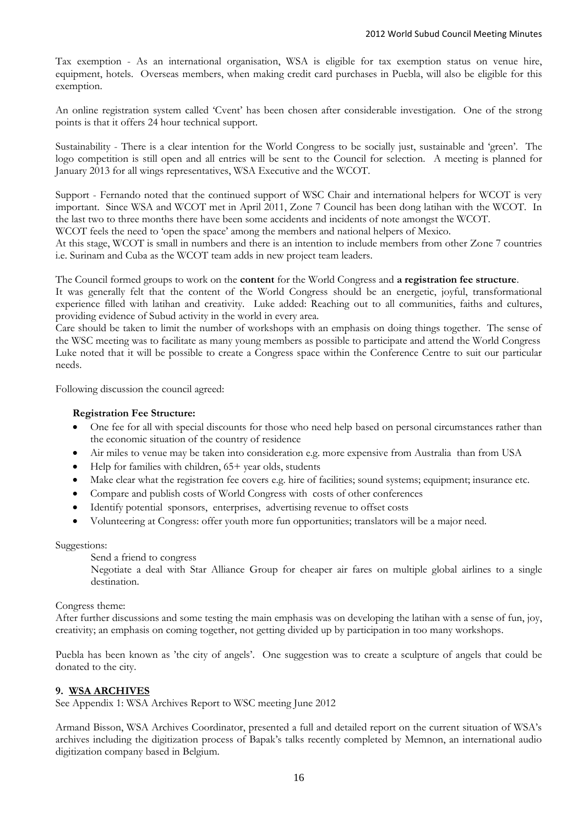Tax exemption - As an international organisation, WSA is eligible for tax exemption status on venue hire, equipment, hotels. Overseas members, when making credit card purchases in Puebla, will also be eligible for this exemption.

An online registration system called 'Cvent' has been chosen after considerable investigation. One of the strong points is that it offers 24 hour technical support.

Sustainability - There is a clear intention for the World Congress to be socially just, sustainable and 'green'. The logo competition is still open and all entries will be sent to the Council for selection. A meeting is planned for January 2013 for all wings representatives, WSA Executive and the WCOT.

Support - Fernando noted that the continued support of WSC Chair and international helpers for WCOT is very important. Since WSA and WCOT met in April 2011, Zone 7 Council has been dong latihan with the WCOT. In the last two to three months there have been some accidents and incidents of note amongst the WCOT.

WCOT feels the need to 'open the space' among the members and national helpers of Mexico.

At this stage, WCOT is small in numbers and there is an intention to include members from other Zone 7 countries i.e. Surinam and Cuba as the WCOT team adds in new project team leaders.

The Council formed groups to work on the **content** for the World Congress and **a registration fee structure**. It was generally felt that the content of the World Congress should be an energetic, joyful, transformational experience filled with latihan and creativity. Luke added: Reaching out to all communities, faiths and cultures, providing evidence of Subud activity in the world in every area.

Care should be taken to limit the number of workshops with an emphasis on doing things together. The sense of the WSC meeting was to facilitate as many young members as possible to participate and attend the World Congress Luke noted that it will be possible to create a Congress space within the Conference Centre to suit our particular needs.

Following discussion the council agreed:

## **Registration Fee Structure:**

- One fee for all with special discounts for those who need help based on personal circumstances rather than the economic situation of the country of residence
- Air miles to venue may be taken into consideration e.g. more expensive from Australia than from USA
- $\bullet$  Help for families with children, 65+ year olds, students
- Make clear what the registration fee covers e.g. hire of facilities; sound systems; equipment; insurance etc.
- Compare and publish costs of World Congress with costs of other conferences
- Identify potential sponsors, enterprises, advertising revenue to offset costs
- Volunteering at Congress: offer youth more fun opportunities; translators will be a major need.

#### Suggestions:

Send a friend to congress

Negotiate a deal with Star Alliance Group for cheaper air fares on multiple global airlines to a single destination.

#### Congress theme:

After further discussions and some testing the main emphasis was on developing the latihan with a sense of fun, joy, creativity; an emphasis on coming together, not getting divided up by participation in too many workshops.

Puebla has been known as 'the city of angels'. One suggestion was to create a sculpture of angels that could be donated to the city.

#### **9. WSA ARCHIVES**

See Appendix 1: WSA Archives Report to WSC meeting June 2012

Armand Bisson, WSA Archives Coordinator, presented a full and detailed report on the current situation of WSA's archives including the digitization process of Bapak's talks recently completed by Memnon, an international audio digitization company based in Belgium.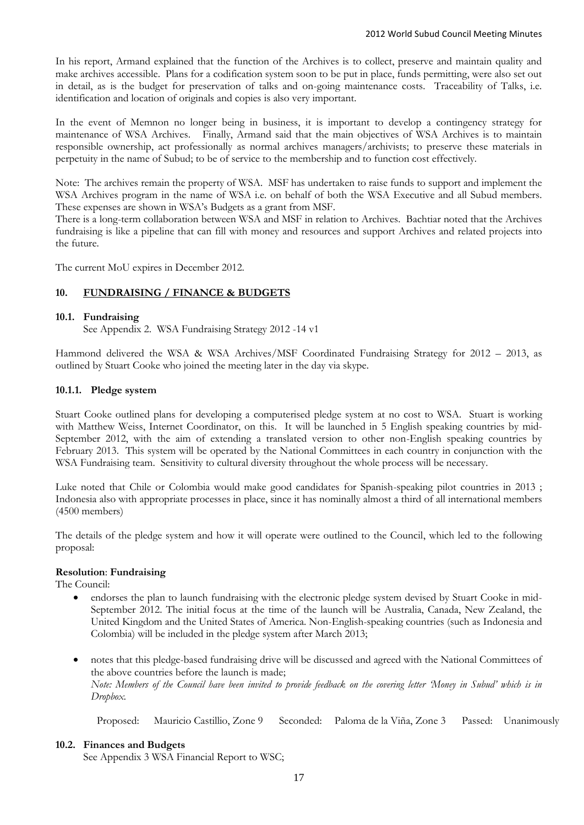In his report, Armand explained that the function of the Archives is to collect, preserve and maintain quality and make archives accessible. Plans for a codification system soon to be put in place, funds permitting, were also set out in detail, as is the budget for preservation of talks and on-going maintenance costs. Traceability of Talks, i.e. identification and location of originals and copies is also very important.

In the event of Memnon no longer being in business, it is important to develop a contingency strategy for maintenance of WSA Archives. Finally, Armand said that the main objectives of WSA Archives is to maintain responsible ownership, act professionally as normal archives managers/archivists; to preserve these materials in perpetuity in the name of Subud; to be of service to the membership and to function cost effectively.

Note: The archives remain the property of WSA. MSF has undertaken to raise funds to support and implement the WSA Archives program in the name of WSA i.e. on behalf of both the WSA Executive and all Subud members. These expenses are shown in WSA's Budgets as a grant from MSF.

There is a long-term collaboration between WSA and MSF in relation to Archives. Bachtiar noted that the Archives fundraising is like a pipeline that can fill with money and resources and support Archives and related projects into the future.

The current MoU expires in December 2012.

## **10. FUNDRAISING / FINANCE & BUDGETS**

## **10.1. Fundraising**

See Appendix 2. WSA Fundraising Strategy 2012 -14 v1

Hammond delivered the WSA & WSA Archives/MSF Coordinated Fundraising Strategy for 2012 – 2013, as outlined by Stuart Cooke who joined the meeting later in the day via skype.

## **10.1.1. Pledge system**

Stuart Cooke outlined plans for developing a computerised pledge system at no cost to WSA. Stuart is working with Matthew Weiss, Internet Coordinator, on this. It will be launched in 5 English speaking countries by mid-September 2012, with the aim of extending a translated version to other non-English speaking countries by February 2013. This system will be operated by the National Committees in each country in conjunction with the WSA Fundraising team. Sensitivity to cultural diversity throughout the whole process will be necessary.

Luke noted that Chile or Colombia would make good candidates for Spanish-speaking pilot countries in 2013 ; Indonesia also with appropriate processes in place, since it has nominally almost a third of all international members (4500 members)

The details of the pledge system and how it will operate were outlined to the Council, which led to the following proposal:

#### **Resolution**: **Fundraising**

The Council:

- endorses the plan to launch fundraising with the electronic pledge system devised by Stuart Cooke in mid-September 2012. The initial focus at the time of the launch will be Australia, Canada, New Zealand, the United Kingdom and the United States of America. Non-English-speaking countries (such as Indonesia and Colombia) will be included in the pledge system after March 2013;
- notes that this pledge-based fundraising drive will be discussed and agreed with the National Committees of the above countries before the launch is made; *Note: Members of the Council have been invited to provide feedback on the covering letter 'Money in Subud' which is in Dropbox.*

Proposed: Mauricio Castillio, Zone 9 Seconded: Paloma de la Viña, Zone 3 Passed: Unanimously

#### **10.2. Finances and Budgets**

See Appendix 3 WSA Financial Report to WSC;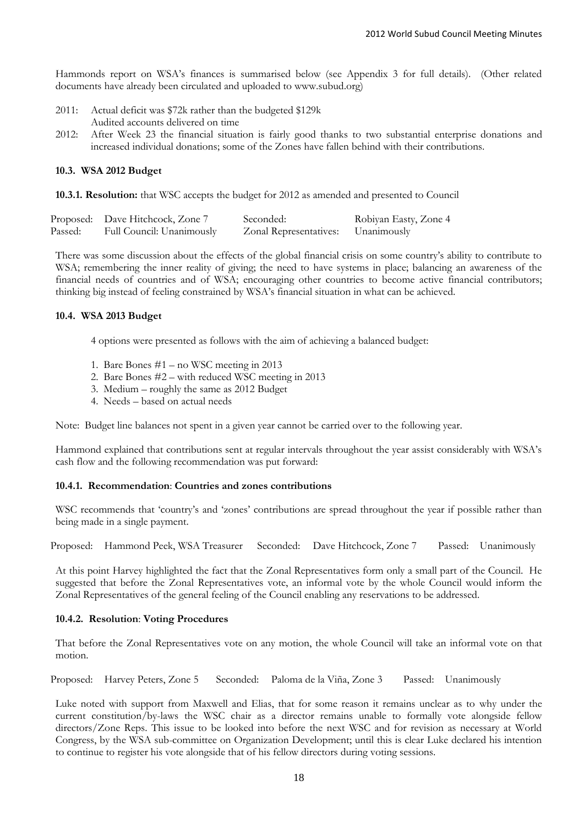Hammonds report on WSA's finances is summarised below (see Appendix 3 for full details). (Other related documents have already been circulated and uploaded to www.subud.org)

- 2011: Actual deficit was \$72k rather than the budgeted \$129k Audited accounts delivered on time
- 2012: After Week 23 the financial situation is fairly good thanks to two substantial enterprise donations and increased individual donations; some of the Zones have fallen behind with their contributions.

## **10.3. WSA 2012 Budget**

**10.3.1. Resolution:** that WSC accepts the budget for 2012 as amended and presented to Council

|         | Proposed: Dave Hitchcock, Zone 7 | Seconded:              | Robiyan Easty, Zone 4 |
|---------|----------------------------------|------------------------|-----------------------|
| Passed: | Full Council: Unanimously        | Zonal Representatives: | Unanimously           |

There was some discussion about the effects of the global financial crisis on some country's ability to contribute to WSA; remembering the inner reality of giving; the need to have systems in place; balancing an awareness of the financial needs of countries and of WSA; encouraging other countries to become active financial contributors; thinking big instead of feeling constrained by WSA's financial situation in what can be achieved.

## **10.4. WSA 2013 Budget**

4 options were presented as follows with the aim of achieving a balanced budget:

- 1. Bare Bones #1 no WSC meeting in 2013
- 2. Bare Bones #2 with reduced WSC meeting in 2013
- 3. Medium roughly the same as 2012 Budget
- 4. Needs based on actual needs

Note: Budget line balances not spent in a given year cannot be carried over to the following year.

Hammond explained that contributions sent at regular intervals throughout the year assist considerably with WSA's cash flow and the following recommendation was put forward:

## **10.4.1. Recommendation**: **Countries and zones contributions**

WSC recommends that 'country's and 'zones' contributions are spread throughout the year if possible rather than being made in a single payment.

Proposed: Hammond Peek, WSA Treasurer Seconded: Dave Hitchcock, Zone 7 Passed: Unanimously

At this point Harvey highlighted the fact that the Zonal Representatives form only a small part of the Council. He suggested that before the Zonal Representatives vote, an informal vote by the whole Council would inform the Zonal Representatives of the general feeling of the Council enabling any reservations to be addressed.

#### **10.4.2. Resolution**: **Voting Procedures**

That before the Zonal Representatives vote on any motion, the whole Council will take an informal vote on that motion.

Proposed: Harvey Peters, Zone 5 Seconded: Paloma de la Viña, Zone 3 Passed: Unanimously

Luke noted with support from Maxwell and Elias, that for some reason it remains unclear as to why under the current constitution/by-laws the WSC chair as a director remains unable to formally vote alongside fellow directors/Zone Reps. This issue to be looked into before the next WSC and for revision as necessary at World Congress, by the WSA sub-committee on Organization Development; until this is clear Luke declared his intention to continue to register his vote alongside that of his fellow directors during voting sessions.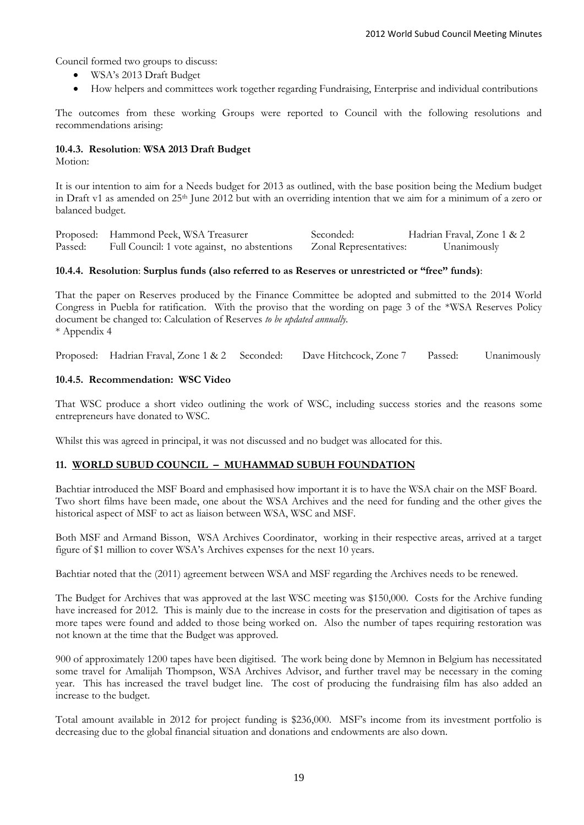Council formed two groups to discuss:

- WSA's 2013 Draft Budget
- How helpers and committees work together regarding Fundraising, Enterprise and individual contributions

The outcomes from these working Groups were reported to Council with the following resolutions and recommendations arising:

## **10.4.3. Resolution**: **WSA 2013 Draft Budget**

Motion:

It is our intention to aim for a Needs budget for 2013 as outlined, with the base position being the Medium budget in Draft v1 as amended on 25th June 2012 but with an overriding intention that we aim for a minimum of a zero or balanced budget.

Proposed: Hammond Peek, WSA Treasurer Seconded: Hadrian Fraval, Zone 1 & 2 Passed: Full Council: 1 vote against, no abstentions Zonal Representatives: Unanimously

## **10.4.4. Resolution**: **Surplus funds (also referred to as Reserves or unrestricted or "free" funds)**:

That the paper on Reserves produced by the Finance Committee be adopted and submitted to the 2014 World Congress in Puebla for ratification. With the proviso that the wording on page 3 of the \*WSA Reserves Policy document be changed to: Calculation of Reserves *to be updated annually.* \* Appendix 4

Proposed: Hadrian Fraval, Zone 1 & 2 Seconded: Dave Hitchcock, Zone 7 Passed: Unanimously

## **10.4.5. Recommendation: WSC Video**

That WSC produce a short video outlining the work of WSC, including success stories and the reasons some entrepreneurs have donated to WSC.

Whilst this was agreed in principal, it was not discussed and no budget was allocated for this.

## **11. WORLD SUBUD COUNCIL – MUHAMMAD SUBUH FOUNDATION**

Bachtiar introduced the MSF Board and emphasised how important it is to have the WSA chair on the MSF Board. Two short films have been made, one about the WSA Archives and the need for funding and the other gives the historical aspect of MSF to act as liaison between WSA, WSC and MSF.

Both MSF and Armand Bisson, WSA Archives Coordinator, working in their respective areas, arrived at a target figure of \$1 million to cover WSA's Archives expenses for the next 10 years.

Bachtiar noted that the (2011) agreement between WSA and MSF regarding the Archives needs to be renewed.

The Budget for Archives that was approved at the last WSC meeting was \$150,000. Costs for the Archive funding have increased for 2012. This is mainly due to the increase in costs for the preservation and digitisation of tapes as more tapes were found and added to those being worked on. Also the number of tapes requiring restoration was not known at the time that the Budget was approved.

900 of approximately 1200 tapes have been digitised. The work being done by Memnon in Belgium has necessitated some travel for Amalijah Thompson, WSA Archives Advisor, and further travel may be necessary in the coming year. This has increased the travel budget line. The cost of producing the fundraising film has also added an increase to the budget.

Total amount available in 2012 for project funding is \$236,000. MSF's income from its investment portfolio is decreasing due to the global financial situation and donations and endowments are also down.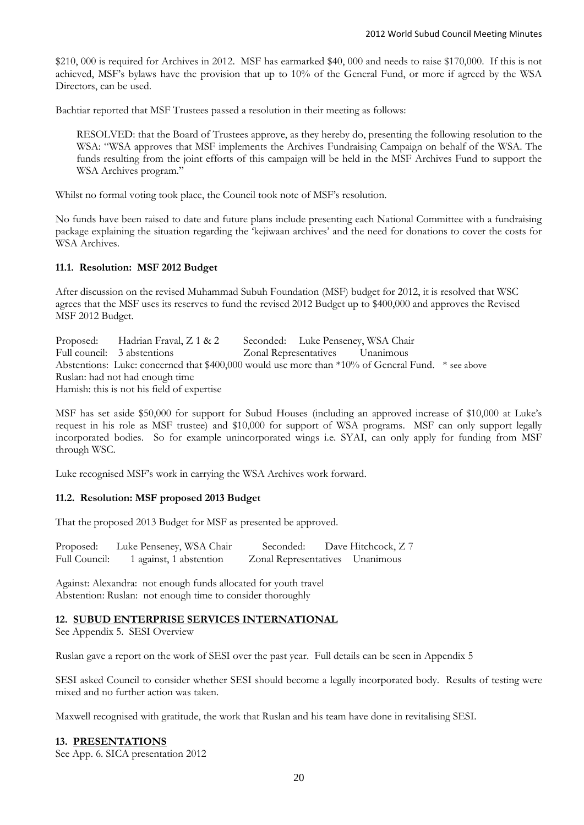\$210, 000 is required for Archives in 2012. MSF has earmarked \$40, 000 and needs to raise \$170,000. If this is not achieved, MSF's bylaws have the provision that up to 10% of the General Fund, or more if agreed by the WSA Directors, can be used.

Bachtiar reported that MSF Trustees passed a resolution in their meeting as follows:

RESOLVED: that the Board of Trustees approve, as they hereby do, presenting the following resolution to the WSA: "WSA approves that MSF implements the Archives Fundraising Campaign on behalf of the WSA. The funds resulting from the joint efforts of this campaign will be held in the MSF Archives Fund to support the WSA Archives program."

Whilst no formal voting took place, the Council took note of MSF's resolution.

No funds have been raised to date and future plans include presenting each National Committee with a fundraising package explaining the situation regarding the 'kejiwaan archives' and the need for donations to cover the costs for WSA Archives.

## **11.1. Resolution: MSF 2012 Budget**

After discussion on the revised Muhammad Subuh Foundation (MSF) budget for 2012, it is resolved that WSC agrees that the MSF uses its reserves to fund the revised 2012 Budget up to \$400,000 and approves the Revised MSF 2012 Budget.

Proposed: Hadrian Fraval, Z 1 & 2 Seconded: Luke Penseney, WSA Chair Full council: 3 abstentions Zonal Representatives Unanimous Abstentions: Luke: concerned that \$400,000 would use more than \*10% of General Fund. \* see above Ruslan: had not had enough time Hamish: this is not his field of expertise

MSF has set aside \$50,000 for support for Subud Houses (including an approved increase of \$10,000 at Luke's request in his role as MSF trustee) and \$10,000 for support of WSA programs. MSF can only support legally incorporated bodies. So for example unincorporated wings i.e. SYAI, can only apply for funding from MSF through WSC.

Luke recognised MSF's work in carrying the WSA Archives work forward.

## **11.2. Resolution: MSF proposed 2013 Budget**

That the proposed 2013 Budget for MSF as presented be approved.

| Proposed:     | Luke Penseney, WSA Chair | Seconded:                       | Dave Hitchcock, Z 7 |
|---------------|--------------------------|---------------------------------|---------------------|
| Full Council: | 1 against, 1 abstention  | Zonal Representatives Unanimous |                     |

Against: Alexandra: not enough funds allocated for youth travel Abstention: Ruslan: not enough time to consider thoroughly

#### **12. SUBUD ENTERPRISE SERVICES INTERNATIONAL**

See Appendix 5. SESI Overview

Ruslan gave a report on the work of SESI over the past year. Full details can be seen in Appendix 5

SESI asked Council to consider whether SESI should become a legally incorporated body. Results of testing were mixed and no further action was taken.

Maxwell recognised with gratitude, the work that Ruslan and his team have done in revitalising SESI.

#### **13. PRESENTATIONS**

See App. 6. SICA presentation 2012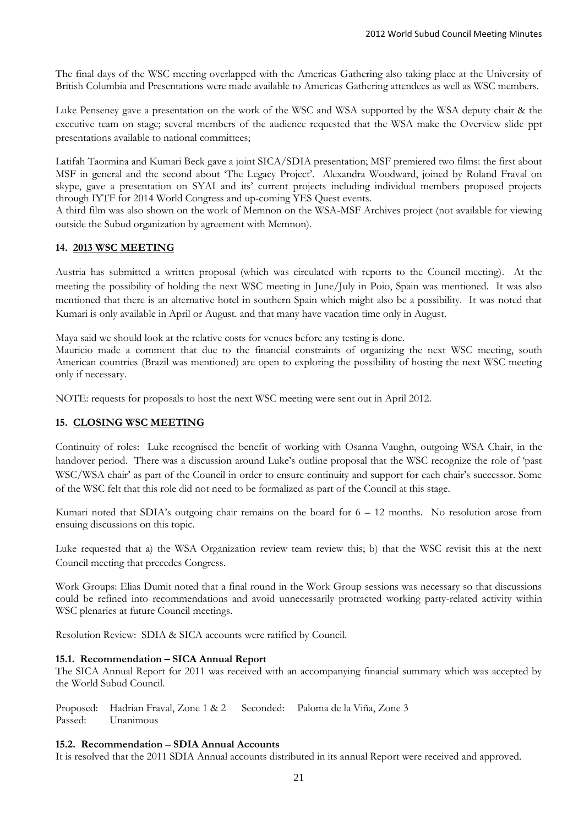The final days of the WSC meeting overlapped with the Americas Gathering also taking place at the University of British Columbia and Presentations were made available to Americas Gathering attendees as well as WSC members.

Luke Penseney gave a presentation on the work of the WSC and WSA supported by the WSA deputy chair & the executive team on stage; several members of the audience requested that the WSA make the Overview slide ppt presentations available to national committees;

Latifah Taormina and Kumari Beck gave a joint SICA/SDIA presentation; MSF premiered two films: the first about MSF in general and the second about 'The Legacy Project'. Alexandra Woodward, joined by Roland Fraval on skype, gave a presentation on SYAI and its' current projects including individual members proposed projects through IYTF for 2014 World Congress and up-coming YES Quest events.

A third film was also shown on the work of Memnon on the WSA-MSF Archives project (not available for viewing outside the Subud organization by agreement with Memnon).

## **14. 2013 WSC MEETING**

Austria has submitted a written proposal (which was circulated with reports to the Council meeting). At the meeting the possibility of holding the next WSC meeting in June/July in Poio, Spain was mentioned. It was also mentioned that there is an alternative hotel in southern Spain which might also be a possibility. It was noted that Kumari is only available in April or August. and that many have vacation time only in August.

Maya said we should look at the relative costs for venues before any testing is done.

Mauricio made a comment that due to the financial constraints of organizing the next WSC meeting, south American countries (Brazil was mentioned) are open to exploring the possibility of hosting the next WSC meeting only if necessary.

NOTE: requests for proposals to host the next WSC meeting were sent out in April 2012.

## **15. CLOSING WSC MEETING**

Continuity of roles: Luke recognised the benefit of working with Osanna Vaughn, outgoing WSA Chair, in the handover period. There was a discussion around Luke's outline proposal that the WSC recognize the role of 'past WSC/WSA chair' as part of the Council in order to ensure continuity and support for each chair's successor. Some of the WSC felt that this role did not need to be formalized as part of the Council at this stage.

Kumari noted that SDIA's outgoing chair remains on the board for 6 – 12 months. No resolution arose from ensuing discussions on this topic.

Luke requested that a) the WSA Organization review team review this; b) that the WSC revisit this at the next Council meeting that precedes Congress.

Work Groups: Elias Dumit noted that a final round in the Work Group sessions was necessary so that discussions could be refined into recommendations and avoid unnecessarily protracted working party-related activity within WSC plenaries at future Council meetings.

Resolution Review: SDIA & SICA accounts were ratified by Council.

#### **15.1. Recommendation – SICA Annual Report**

The SICA Annual Report for 2011 was received with an accompanying financial summary which was accepted by the World Subud Council.

Proposed: Hadrian Fraval, Zone 1 & 2 Seconded: Paloma de la Viña, Zone 3 Passed: Unanimous

#### **15.2. Recommendation** – **SDIA Annual Accounts**

It is resolved that the 2011 SDIA Annual accounts distributed in its annual Report were received and approved.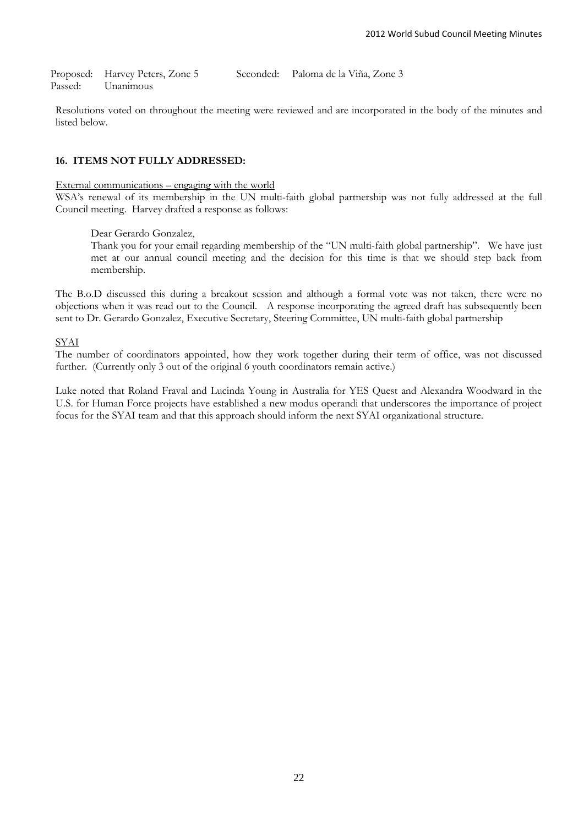Proposed: Harvey Peters, Zone 5 Seconded: Paloma de la Viña, Zone 3 Passed: Unanimous

Resolutions voted on throughout the meeting were reviewed and are incorporated in the body of the minutes and listed below.

## **16. ITEMS NOT FULLY ADDRESSED:**

#### External communications – engaging with the world

WSA's renewal of its membership in the UN multi-faith global partnership was not fully addressed at the full Council meeting. Harvey drafted a response as follows:

## Dear Gerardo Gonzalez,

Thank you for your email regarding membership of the "UN multi-faith global partnership". We have just met at our annual council meeting and the decision for this time is that we should step back from membership.

The B.o.D discussed this during a breakout session and although a formal vote was not taken, there were no objections when it was read out to the Council. A response incorporating the agreed draft has subsequently been sent to Dr. Gerardo Gonzalez, Executive Secretary, Steering Committee, UN multi-faith global partnership

SYAI

The number of coordinators appointed, how they work together during their term of office, was not discussed further. (Currently only 3 out of the original 6 youth coordinators remain active.)

Luke noted that Roland Fraval and Lucinda Young in Australia for YES Quest and Alexandra Woodward in the U.S. for Human Force projects have established a new modus operandi that underscores the importance of project focus for the SYAI team and that this approach should inform the next SYAI organizational structure.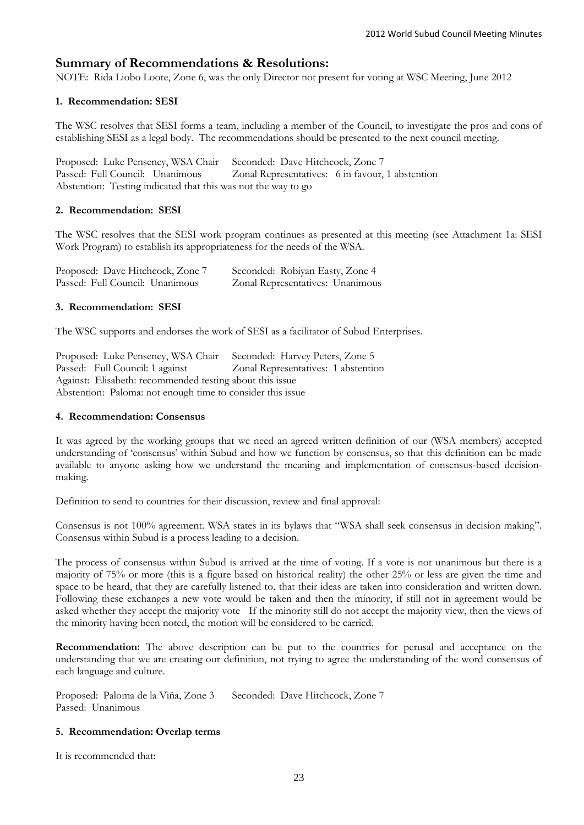## **Summary of Recommendations & Resolutions:**

NOTE: Rida Liobo Loote, Zone 6, was the only Director not present for voting at WSC Meeting, June 2012

## **1. Recommendation: SESI**

The WSC resolves that SESI forms a team, including a member of the Council, to investigate the pros and cons of establishing SESI as a legal body. The recommendations should be presented to the next council meeting.

Proposed: Luke Penseney, WSA Chair Seconded: Dave Hitchcock, Zone 7 Passed: Full Council: Unanimous Zonal Representatives: 6 in favour, 1 abstention Abstention: Testing indicated that this was not the way to go

## **2. Recommendation: SESI**

The WSC resolves that the SESI work program continues as presented at this meeting (see Attachment 1a: SESI Work Program) to establish its appropriateness for the needs of the WSA.

| Proposed: Dave Hitchcock, Zone 7 | Seconded: Robiyan Easty, Zone 4  |
|----------------------------------|----------------------------------|
| Passed: Full Council: Unanimous  | Zonal Representatives: Unanimous |

## **3. Recommendation: SESI**

The WSC supports and endorses the work of SESI as a facilitator of Subud Enterprises.

Proposed: Luke Penseney, WSA Chair Seconded: Harvey Peters, Zone 5 Passed: Full Council: 1 against Zonal Representatives: 1 abstention Against: Elisabeth: recommended testing about this issue Abstention: Paloma: not enough time to consider this issue

#### **4. Recommendation: Consensus**

It was agreed by the working groups that we need an agreed written definition of our (WSA members) accepted understanding of 'consensus' within Subud and how we function by consensus, so that this definition can be made available to anyone asking how we understand the meaning and implementation of consensus-based decisionmaking.

Definition to send to countries for their discussion, review and final approval:

Consensus is not 100% agreement. WSA states in its bylaws that "WSA shall seek consensus in decision making". Consensus within Subud is a process leading to a decision.

The process of consensus within Subud is arrived at the time of voting. If a vote is not unanimous but there is a majority of 75% or more (this is a figure based on historical reality) the other 25% or less are given the time and space to be heard, that they are carefully listened to, that their ideas are taken into consideration and written down. Following these exchanges a new vote would be taken and then the minority, if still not in agreement would be asked whether they accept the majority vote If the minority still do not accept the majority view, then the views of the minority having been noted, the motion will be considered to be carried.

**Recommendation:** The above description can be put to the countries for perusal and acceptance on the understanding that we are creating our definition, not trying to agree the understanding of the word consensus of each language and culture.

Proposed: Paloma de la Viña, Zone 3 Seconded: Dave Hitchcock, Zone 7 Passed: Unanimous

## **5. Recommendation: Overlap terms**

It is recommended that: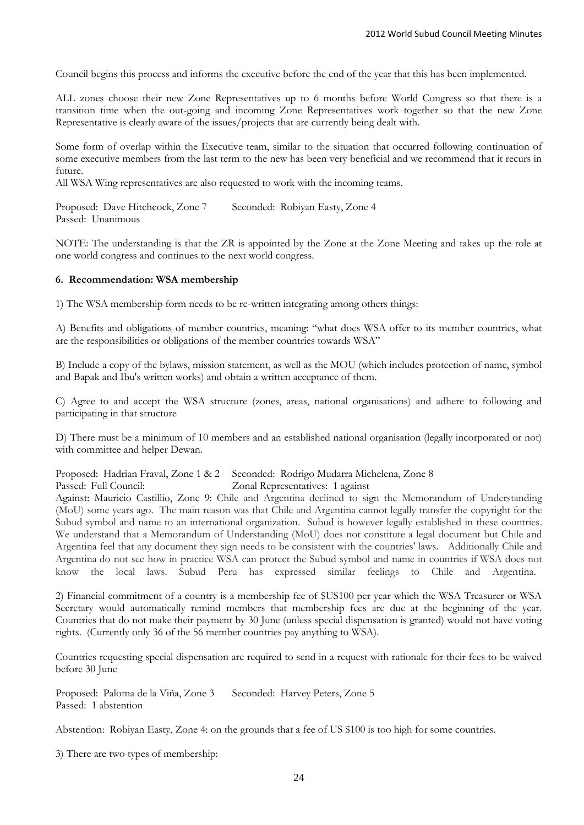Council begins this process and informs the executive before the end of the year that this has been implemented.

ALL zones choose their new Zone Representatives up to 6 months before World Congress so that there is a transition time when the out-going and incoming Zone Representatives work together so that the new Zone Representative is clearly aware of the issues/projects that are currently being dealt with.

Some form of overlap within the Executive team, similar to the situation that occurred following continuation of some executive members from the last term to the new has been very beneficial and we recommend that it recurs in future.

All WSA Wing representatives are also requested to work with the incoming teams.

Proposed: Dave Hitchcock, Zone 7 Seconded: Robiyan Easty, Zone 4 Passed: Unanimous

NOTE: The understanding is that the ZR is appointed by the Zone at the Zone Meeting and takes up the role at one world congress and continues to the next world congress.

#### **6. Recommendation: WSA membership**

1) The WSA membership form needs to be re-written integrating among others things:

A) Benefits and obligations of member countries, meaning: "what does WSA offer to its member countries, what are the responsibilities or obligations of the member countries towards WSA"

B) Include a copy of the bylaws, mission statement, as well as the MOU (which includes protection of name, symbol and Bapak and Ibu's written works) and obtain a written acceptance of them.

C) Agree to and accept the WSA structure (zones, areas, national organisations) and adhere to following and participating in that structure

D) There must be a minimum of 10 members and an established national organisation (legally incorporated or not) with committee and helper Dewan.

Proposed: Hadrian Fraval, Zone 1 & 2 Seconded: Rodrigo Mudarra Michelena, Zone 8

Passed: Full Council: Zonal Representatives: 1 against

Against: Mauricio Castillio, Zone 9: Chile and Argentina declined to sign the Memorandum of Understanding (MoU) some years ago. The main reason was that Chile and Argentina cannot legally transfer the copyright for the Subud symbol and name to an international organization. Subud is however legally established in these countries. We understand that a Memorandum of Understanding (MoU) does not constitute a legal document but Chile and Argentina feel that any document they sign needs to be consistent with the countries' laws. Additionally Chile and Argentina do not see how in practice WSA can protect the Subud symbol and name in countries if WSA does not know the local laws. Subud Peru has expressed similar feelings to Chile and Argentina.

2) Financial commitment of a country is a membership fee of \$US100 per year which the WSA Treasurer or WSA Secretary would automatically remind members that membership fees are due at the beginning of the year. Countries that do not make their payment by 30 June (unless special dispensation is granted) would not have voting rights. (Currently only 36 of the 56 member countries pay anything to WSA).

Countries requesting special dispensation are required to send in a request with rationale for their fees to be waived before 30 June

Proposed: Paloma de la Viña, Zone 3 Seconded: Harvey Peters, Zone 5 Passed: 1 abstention

Abstention: Robiyan Easty, Zone 4: on the grounds that a fee of US \$100 is too high for some countries.

3) There are two types of membership: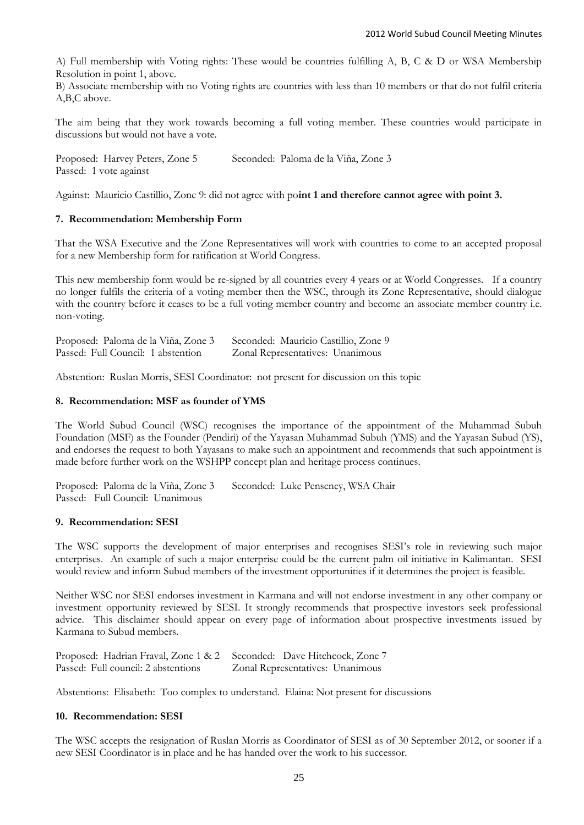A) Full membership with Voting rights: These would be countries fulfilling A, B, C & D or WSA Membership Resolution in point 1, above.

B) Associate membership with no Voting rights are countries with less than 10 members or that do not fulfil criteria A,B,C above.

The aim being that they work towards becoming a full voting member. These countries would participate in discussions but would not have a vote.

Proposed: Harvey Peters, Zone 5 Seconded: Paloma de la Viña, Zone 3 Passed: 1 vote against

Against: Mauricio Castillio, Zone 9: did not agree with po**int 1 and therefore cannot agree with point 3.**

#### **7. Recommendation: Membership Form**

That the WSA Executive and the Zone Representatives will work with countries to come to an accepted proposal for a new Membership form for ratification at World Congress.

This new membership form would be re-signed by all countries every 4 years or at World Congresses. If a country no longer fulfils the criteria of a voting member then the WSC, through its Zone Representative, should dialogue with the country before it ceases to be a full voting member country and become an associate member country i.e. non-voting.

| Proposed: Paloma de la Viña, Zone 3 | Seconded: Mauricio Castillio, Zone 9 |
|-------------------------------------|--------------------------------------|
| Passed: Full Council: 1 abstention  | Zonal Representatives: Unanimous     |

Abstention: Ruslan Morris, SESI Coordinator: not present for discussion on this topic

#### **8. Recommendation: MSF as founder of YMS**

The World Subud Council (WSC) recognises the importance of the appointment of the Muhammad Subuh Foundation (MSF) as the Founder (Pendiri) of the Yayasan Muhammad Subuh (YMS) and the Yayasan Subud (YS), and endorses the request to both Yayasans to make such an appointment and recommends that such appointment is made before further work on the WSHPP concept plan and heritage process continues.

Proposed: Paloma de la Viña, Zone 3 Seconded: Luke Penseney, WSA Chair Passed: Full Council: Unanimous

#### **9. Recommendation: SESI**

The WSC supports the development of major enterprises and recognises SESI's role in reviewing such major enterprises. An example of such a major enterprise could be the current palm oil initiative in Kalimantan. SESI would review and inform Subud members of the investment opportunities if it determines the project is feasible.

Neither WSC nor SESI endorses investment in Karmana and will not endorse investment in any other company or investment opportunity reviewed by SESI. It strongly recommends that prospective investors seek professional advice. This disclaimer should appear on every page of information about prospective investments issued by Karmana to Subud members.

| Proposed: Hadrian Fraval, Zone 1 & 2 Seconded: Dave Hitchcock, Zone 7 |                                  |
|-----------------------------------------------------------------------|----------------------------------|
| Passed: Full council: 2 abstentions                                   | Zonal Representatives: Unanimous |

Abstentions: Elisabeth: Too complex to understand. Elaina: Not present for discussions

#### **10. Recommendation: SESI**

The WSC accepts the resignation of Ruslan Morris as Coordinator of SESI as of 30 September 2012, or sooner if a new SESI Coordinator is in place and he has handed over the work to his successor.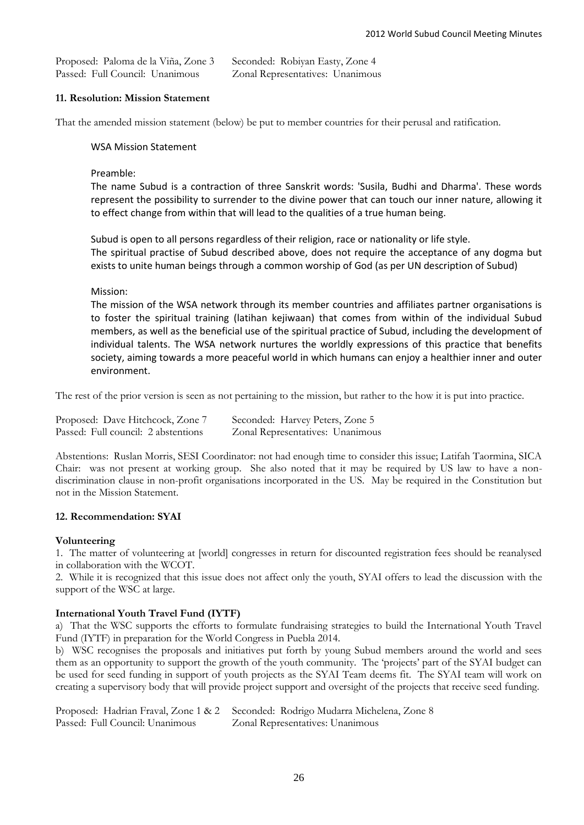| Proposed: Paloma de la Viña, Zone 3 | Seconded: Robiyan Easty, Zone 4  |
|-------------------------------------|----------------------------------|
| Passed: Full Council: Unanimous     | Zonal Representatives: Unanimous |

## **11. Resolution: Mission Statement**

That the amended mission statement (below) be put to member countries for their perusal and ratification.

WSA Mission Statement

Preamble:

The name Subud is a contraction of three Sanskrit words: 'Susila, Budhi and Dharma'. These words represent the possibility to surrender to the divine power that can touch our inner nature, allowing it to effect change from within that will lead to the qualities of a true human being.

Subud is open to all persons regardless of their religion, race or nationality or life style. The spiritual practise of Subud described above, does not require the acceptance of any dogma but exists to unite human beings through a common worship of God (as per UN description of Subud)

Mission:

The mission of the WSA network through its member countries and affiliates partner organisations is to foster the spiritual training (latihan kejiwaan) that comes from within of the individual Subud members, as well as the beneficial use of the spiritual practice of Subud, including the development of individual talents. The WSA network nurtures the worldly expressions of this practice that benefits society, aiming towards a more peaceful world in which humans can enjoy a healthier inner and outer environment.

The rest of the prior version is seen as not pertaining to the mission, but rather to the how it is put into practice.

| Proposed: Dave Hitchcock, Zone 7    | Seconded: Harvey Peters, Zone 5  |
|-------------------------------------|----------------------------------|
| Passed: Full council: 2 abstentions | Zonal Representatives: Unanimous |

Abstentions: Ruslan Morris, SESI Coordinator: not had enough time to consider this issue; Latifah Taormina, SICA Chair: was not present at working group. She also noted that it may be required by US law to have a nondiscrimination clause in non-profit organisations incorporated in the US. May be required in the Constitution but not in the Mission Statement.

#### **12. Recommendation: SYAI**

#### **Volunteering**

1. The matter of volunteering at [world] congresses in return for discounted registration fees should be reanalysed in collaboration with the WCOT.

2. While it is recognized that this issue does not affect only the youth, SYAI offers to lead the discussion with the support of the WSC at large.

#### **International Youth Travel Fund (IYTF)**

a) That the WSC supports the efforts to formulate fundraising strategies to build the International Youth Travel Fund (IYTF) in preparation for the World Congress in Puebla 2014.

b) WSC recognises the proposals and initiatives put forth by young Subud members around the world and sees them as an opportunity to support the growth of the youth community. The 'projects' part of the SYAI budget can be used for seed funding in support of youth projects as the SYAI Team deems fit. The SYAI team will work on creating a supervisory body that will provide project support and oversight of the projects that receive seed funding.

|                                 | Proposed: Hadrian Fraval, Zone 1 & 2 Seconded: Rodrigo Mudarra Michelena, Zone 8 |
|---------------------------------|----------------------------------------------------------------------------------|
| Passed: Full Council: Unanimous | Zonal Representatives: Unanimous                                                 |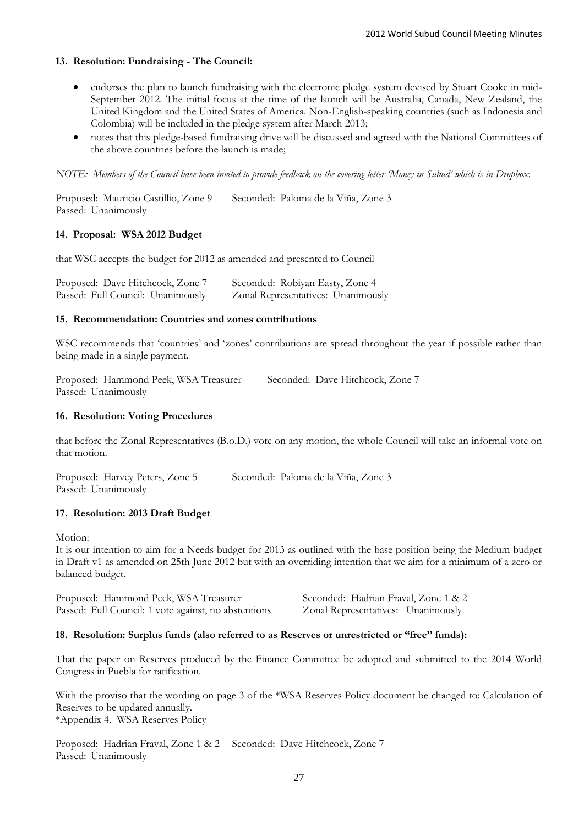## **13. Resolution: Fundraising - The Council:**

- endorses the plan to launch fundraising with the electronic pledge system devised by Stuart Cooke in mid-September 2012. The initial focus at the time of the launch will be Australia, Canada, New Zealand, the United Kingdom and the United States of America. Non-English-speaking countries (such as Indonesia and Colombia) will be included in the pledge system after March 2013;
- notes that this pledge-based fundraising drive will be discussed and agreed with the National Committees of the above countries before the launch is made;

*NOTE: Members of the Council have been invited to provide feedback on the covering letter 'Money in Subud' which is in Dropbox.*

Proposed: Mauricio Castillio, Zone 9 Seconded: Paloma de la Viña, Zone 3 Passed: Unanimously

## **14. Proposal: WSA 2012 Budget**

that WSC accepts the budget for 2012 as amended and presented to Council

| Proposed: Dave Hitchcock, Zone 7  | Seconded: Robiyan Easty, Zone 4    |
|-----------------------------------|------------------------------------|
| Passed: Full Council: Unanimously | Zonal Representatives: Unanimously |

#### **15. Recommendation: Countries and zones contributions**

WSC recommends that 'countries' and 'zones' contributions are spread throughout the year if possible rather than being made in a single payment.

Proposed: Hammond Peek, WSA Treasurer Seconded: Dave Hitchcock, Zone 7 Passed: Unanimously

#### **16. Resolution: Voting Procedures**

that before the Zonal Representatives (B.o.D.) vote on any motion, the whole Council will take an informal vote on that motion.

Proposed: Harvey Peters, Zone 5 Seconded: Paloma de la Viña, Zone 3 Passed: Unanimously

#### **17. Resolution: 2013 Draft Budget**

Motion:

It is our intention to aim for a Needs budget for 2013 as outlined with the base position being the Medium budget in Draft v1 as amended on 25th June 2012 but with an overriding intention that we aim for a minimum of a zero or balanced budget.

Proposed: Hammond Peek, WSA Treasurer Seconded: Hadrian Fraval, Zone 1 & 2 Passed: Full Council: 1 vote against, no abstentions Zonal Representatives: Unanimously

#### **18. Resolution: Surplus funds (also referred to as Reserves or unrestricted or "free" funds):**

That the paper on Reserves produced by the Finance Committee be adopted and submitted to the 2014 World Congress in Puebla for ratification.

With the proviso that the wording on page 3 of the \*WSA Reserves Policy document be changed to: Calculation of Reserves to be updated annually.

\*Appendix 4. WSA Reserves Policy

Proposed: Hadrian Fraval, Zone 1 & 2 Seconded: Dave Hitchcock, Zone 7 Passed: Unanimously